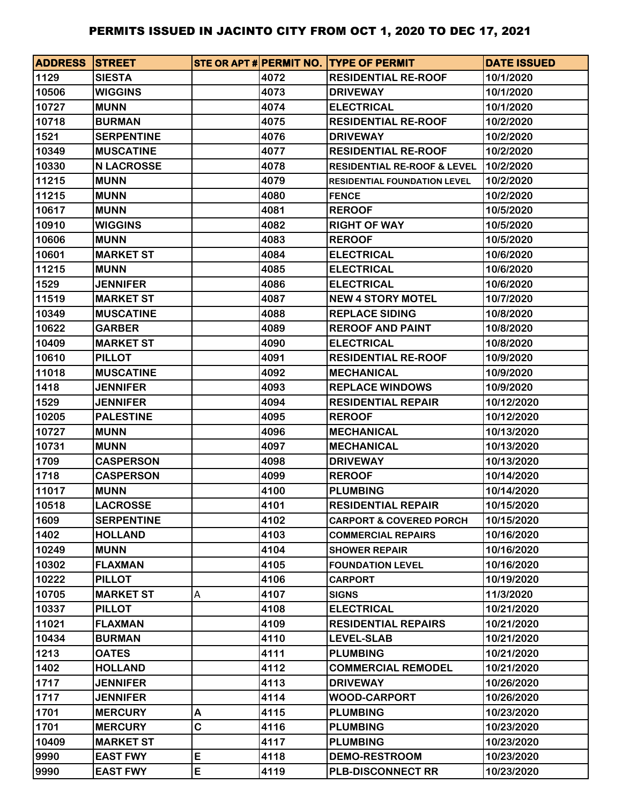| <b>ADDRESS STREET</b> |                   |   |      | STE OR APT # PERMIT NO. TYPE OF PERMIT | <b>DATE ISSUED</b> |
|-----------------------|-------------------|---|------|----------------------------------------|--------------------|
| 1129                  | <b>SIESTA</b>     |   | 4072 | <b>RESIDENTIAL RE-ROOF</b>             | 10/1/2020          |
| 10506                 | <b>WIGGINS</b>    |   | 4073 | <b>DRIVEWAY</b>                        | 10/1/2020          |
| 10727                 | <b>MUNN</b>       |   | 4074 | <b>ELECTRICAL</b>                      | 10/1/2020          |
| 10718                 | <b>BURMAN</b>     |   | 4075 | <b>RESIDENTIAL RE-ROOF</b>             | 10/2/2020          |
| 1521                  | <b>SERPENTINE</b> |   | 4076 | <b>DRIVEWAY</b>                        | 10/2/2020          |
| 10349                 | <b>MUSCATINE</b>  |   | 4077 | <b>RESIDENTIAL RE-ROOF</b>             | 10/2/2020          |
| 10330                 | <b>N LACROSSE</b> |   | 4078 | <b>RESIDENTIAL RE-ROOF &amp; LEVEL</b> | 10/2/2020          |
| 11215                 | <b>MUNN</b>       |   | 4079 | <b>RESIDENTIAL FOUNDATION LEVEL</b>    | 10/2/2020          |
| 11215                 | <b>MUNN</b>       |   | 4080 | <b>FENCE</b>                           | 10/2/2020          |
| 10617                 | <b>MUNN</b>       |   | 4081 | <b>REROOF</b>                          | 10/5/2020          |
| 10910                 | <b>WIGGINS</b>    |   | 4082 | <b>RIGHT OF WAY</b>                    | 10/5/2020          |
| 10606                 | <b>MUNN</b>       |   | 4083 | <b>REROOF</b>                          | 10/5/2020          |
| 10601                 | <b>MARKET ST</b>  |   | 4084 | <b>ELECTRICAL</b>                      | 10/6/2020          |
| 11215                 | <b>MUNN</b>       |   | 4085 | <b>ELECTRICAL</b>                      | 10/6/2020          |
| 1529                  | <b>JENNIFER</b>   |   | 4086 | <b>ELECTRICAL</b>                      | 10/6/2020          |
| 11519                 | <b>MARKET ST</b>  |   | 4087 | <b>NEW 4 STORY MOTEL</b>               | 10/7/2020          |
| 10349                 | <b>MUSCATINE</b>  |   | 4088 | <b>REPLACE SIDING</b>                  | 10/8/2020          |
| 10622                 | <b>GARBER</b>     |   | 4089 | <b>REROOF AND PAINT</b>                | 10/8/2020          |
| 10409                 | <b>MARKET ST</b>  |   | 4090 | <b>ELECTRICAL</b>                      | 10/8/2020          |
| 10610                 | <b>PILLOT</b>     |   | 4091 | <b>RESIDENTIAL RE-ROOF</b>             | 10/9/2020          |
| 11018                 | <b>MUSCATINE</b>  |   | 4092 | <b>MECHANICAL</b>                      | 10/9/2020          |
| 1418                  | <b>JENNIFER</b>   |   | 4093 | <b>REPLACE WINDOWS</b>                 | 10/9/2020          |
| 1529                  | <b>JENNIFER</b>   |   | 4094 | <b>RESIDENTIAL REPAIR</b>              | 10/12/2020         |
| 10205                 | <b>PALESTINE</b>  |   | 4095 | <b>REROOF</b>                          | 10/12/2020         |
| 10727                 | <b>MUNN</b>       |   | 4096 | <b>MECHANICAL</b>                      | 10/13/2020         |
| 10731                 | <b>MUNN</b>       |   | 4097 | <b>MECHANICAL</b>                      | 10/13/2020         |
| 1709                  | <b>CASPERSON</b>  |   | 4098 | <b>DRIVEWAY</b>                        | 10/13/2020         |
| 1718                  | <b>CASPERSON</b>  |   | 4099 | <b>REROOF</b>                          | 10/14/2020         |
| 11017                 | <b>MUNN</b>       |   | 4100 | <b>PLUMBING</b>                        | 10/14/2020         |
| 10518                 | <b>LACROSSE</b>   |   | 4101 | <b>RESIDENTIAL REPAIR</b>              | 10/15/2020         |
| 1609                  | <b>SERPENTINE</b> |   | 4102 | <b>CARPORT &amp; COVERED PORCH</b>     | 10/15/2020         |
| 1402                  | <b>HOLLAND</b>    |   | 4103 | <b>COMMERCIAL REPAIRS</b>              | 10/16/2020         |
| 10249                 | <b>MUNN</b>       |   | 4104 | <b>SHOWER REPAIR</b>                   | 10/16/2020         |
| 10302                 | <b>FLAXMAN</b>    |   | 4105 | <b>FOUNDATION LEVEL</b>                | 10/16/2020         |
| 10222                 | <b>PILLOT</b>     |   | 4106 | <b>CARPORT</b>                         | 10/19/2020         |
| 10705                 | <b>MARKET ST</b>  | A | 4107 | <b>SIGNS</b>                           | 11/3/2020          |
| 10337                 | <b>PILLOT</b>     |   | 4108 | <b>ELECTRICAL</b>                      | 10/21/2020         |
| 11021                 | <b>FLAXMAN</b>    |   | 4109 | <b>RESIDENTIAL REPAIRS</b>             | 10/21/2020         |
| 10434                 | <b>BURMAN</b>     |   | 4110 | <b>LEVEL-SLAB</b>                      | 10/21/2020         |
| 1213                  | <b>OATES</b>      |   | 4111 | <b>PLUMBING</b>                        | 10/21/2020         |
| 1402                  | <b>HOLLAND</b>    |   | 4112 | <b>COMMERCIAL REMODEL</b>              | 10/21/2020         |
| 1717                  | <b>JENNIFER</b>   |   | 4113 | <b>DRIVEWAY</b>                        | 10/26/2020         |
| 1717                  | <b>JENNIFER</b>   |   | 4114 | <b>WOOD-CARPORT</b>                    | 10/26/2020         |
| 1701                  | <b>MERCURY</b>    | Α | 4115 | <b>PLUMBING</b>                        | 10/23/2020         |
| 1701                  | <b>MERCURY</b>    | C | 4116 | <b>PLUMBING</b>                        | 10/23/2020         |
| 10409                 | <b>MARKET ST</b>  |   | 4117 | <b>PLUMBING</b>                        | 10/23/2020         |
| 9990                  | <b>EAST FWY</b>   | E | 4118 | <b>DEMO-RESTROOM</b>                   | 10/23/2020         |
| 9990                  | <b>EAST FWY</b>   | E | 4119 | <b>PLB-DISCONNECT RR</b>               | 10/23/2020         |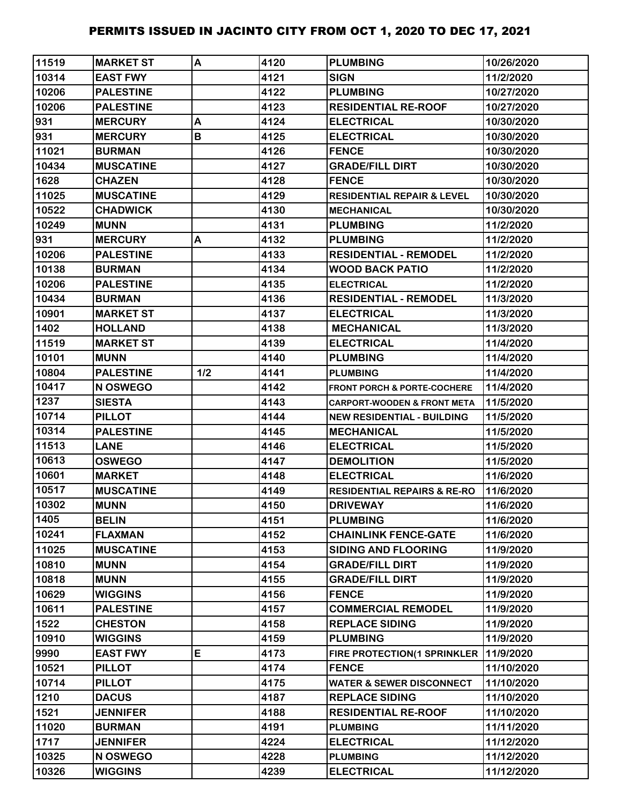| 11519 | <b>MARKET ST</b> | A   | 4120 | <b>PLUMBING</b>                        | 10/26/2020 |
|-------|------------------|-----|------|----------------------------------------|------------|
| 10314 | <b>EAST FWY</b>  |     | 4121 | <b>SIGN</b>                            | 11/2/2020  |
| 10206 | <b>PALESTINE</b> |     | 4122 | <b>PLUMBING</b>                        | 10/27/2020 |
| 10206 | <b>PALESTINE</b> |     | 4123 | <b>RESIDENTIAL RE-ROOF</b>             | 10/27/2020 |
| 931   | <b>MERCURY</b>   | A   | 4124 | <b>ELECTRICAL</b>                      | 10/30/2020 |
| 931   | <b>MERCURY</b>   | В   | 4125 | <b>ELECTRICAL</b>                      | 10/30/2020 |
| 11021 | <b>BURMAN</b>    |     | 4126 | <b>FENCE</b>                           | 10/30/2020 |
| 10434 | <b>MUSCATINE</b> |     | 4127 | <b>GRADE/FILL DIRT</b>                 | 10/30/2020 |
| 1628  | <b>CHAZEN</b>    |     | 4128 | <b>FENCE</b>                           | 10/30/2020 |
| 11025 | <b>MUSCATINE</b> |     | 4129 | <b>RESIDENTIAL REPAIR &amp; LEVEL</b>  | 10/30/2020 |
| 10522 | <b>CHADWICK</b>  |     | 4130 | <b>MECHANICAL</b>                      | 10/30/2020 |
| 10249 | <b>MUNN</b>      |     | 4131 | <b>PLUMBING</b>                        | 11/2/2020  |
| 931   | <b>MERCURY</b>   | A   | 4132 | <b>PLUMBING</b>                        | 11/2/2020  |
| 10206 | <b>PALESTINE</b> |     | 4133 | <b>RESIDENTIAL - REMODEL</b>           | 11/2/2020  |
| 10138 | <b>BURMAN</b>    |     | 4134 | <b>WOOD BACK PATIO</b>                 | 11/2/2020  |
| 10206 | <b>PALESTINE</b> |     | 4135 | <b>ELECTRICAL</b>                      | 11/2/2020  |
| 10434 | <b>BURMAN</b>    |     | 4136 | <b>RESIDENTIAL - REMODEL</b>           | 11/3/2020  |
| 10901 | <b>MARKET ST</b> |     | 4137 | <b>ELECTRICAL</b>                      | 11/3/2020  |
| 1402  | <b>HOLLAND</b>   |     | 4138 | <b>MECHANICAL</b>                      | 11/3/2020  |
| 11519 | <b>MARKET ST</b> |     | 4139 | <b>ELECTRICAL</b>                      | 11/4/2020  |
| 10101 | <b>MUNN</b>      |     | 4140 | <b>PLUMBING</b>                        | 11/4/2020  |
| 10804 | <b>PALESTINE</b> | 1/2 | 4141 | <b>PLUMBING</b>                        | 11/4/2020  |
| 10417 | N OSWEGO         |     | 4142 | <b>FRONT PORCH &amp; PORTE-COCHERE</b> | 11/4/2020  |
| 1237  | <b>SIESTA</b>    |     | 4143 | <b>CARPORT-WOODEN &amp; FRONT META</b> | 11/5/2020  |
| 10714 | <b>PILLOT</b>    |     | 4144 | <b>NEW RESIDENTIAL - BUILDING</b>      | 11/5/2020  |
| 10314 | <b>PALESTINE</b> |     | 4145 | <b>IMECHANICAL</b>                     | 11/5/2020  |
| 11513 | <b>LANE</b>      |     | 4146 | <b>ELECTRICAL</b>                      | 11/5/2020  |
| 10613 | <b>OSWEGO</b>    |     | 4147 | <b>DEMOLITION</b>                      | 11/5/2020  |
| 10601 | <b>MARKET</b>    |     | 4148 | <b>ELECTRICAL</b>                      | 11/6/2020  |
| 10517 | <b>MUSCATINE</b> |     | 4149 | <b>RESIDENTIAL REPAIRS &amp; RE-RO</b> | 11/6/2020  |
| 10302 | <b>MUNN</b>      |     | 4150 | <b>DRIVEWAY</b>                        | 11/6/2020  |
| 1405  | <b>BELIN</b>     |     | 4151 | <b>PLUMBING</b>                        | 11/6/2020  |
| 10241 | <b>FLAXMAN</b>   |     | 4152 | <b>CHAINLINK FENCE-GATE</b>            | 11/6/2020  |
| 11025 | <b>MUSCATINE</b> |     | 4153 | <b>SIDING AND FLOORING</b>             | 11/9/2020  |
| 10810 | <b>MUNN</b>      |     | 4154 | <b>GRADE/FILL DIRT</b>                 | 11/9/2020  |
| 10818 | <b>MUNN</b>      |     | 4155 | <b>GRADE/FILL DIRT</b>                 | 11/9/2020  |
| 10629 | <b>WIGGINS</b>   |     | 4156 | <b>FENCE</b>                           | 11/9/2020  |
| 10611 | <b>PALESTINE</b> |     | 4157 | <b>COMMERCIAL REMODEL</b>              | 11/9/2020  |
| 1522  | <b>CHESTON</b>   |     | 4158 | <b>REPLACE SIDING</b>                  | 11/9/2020  |
| 10910 | <b>WIGGINS</b>   |     | 4159 | <b>PLUMBING</b>                        | 11/9/2020  |
| 9990  | <b>EAST FWY</b>  | E   | 4173 | FIRE PROTECTION(1 SPRINKLER            | 11/9/2020  |
| 10521 | <b>PILLOT</b>    |     | 4174 | <b>FENCE</b>                           | 11/10/2020 |
| 10714 | <b>PILLOT</b>    |     | 4175 | <b>WATER &amp; SEWER DISCONNECT</b>    | 11/10/2020 |
| 1210  | <b>DACUS</b>     |     | 4187 | <b>REPLACE SIDING</b>                  | 11/10/2020 |
| 1521  | <b>JENNIFER</b>  |     | 4188 | <b>RESIDENTIAL RE-ROOF</b>             | 11/10/2020 |
| 11020 | <b>BURMAN</b>    |     | 4191 | <b>PLUMBING</b>                        | 11/11/2020 |
| 1717  | <b>JENNIFER</b>  |     | 4224 | <b>ELECTRICAL</b>                      | 11/12/2020 |
| 10325 | N OSWEGO         |     | 4228 | <b>PLUMBING</b>                        | 11/12/2020 |
| 10326 | <b>WIGGINS</b>   |     | 4239 | <b>ELECTRICAL</b>                      | 11/12/2020 |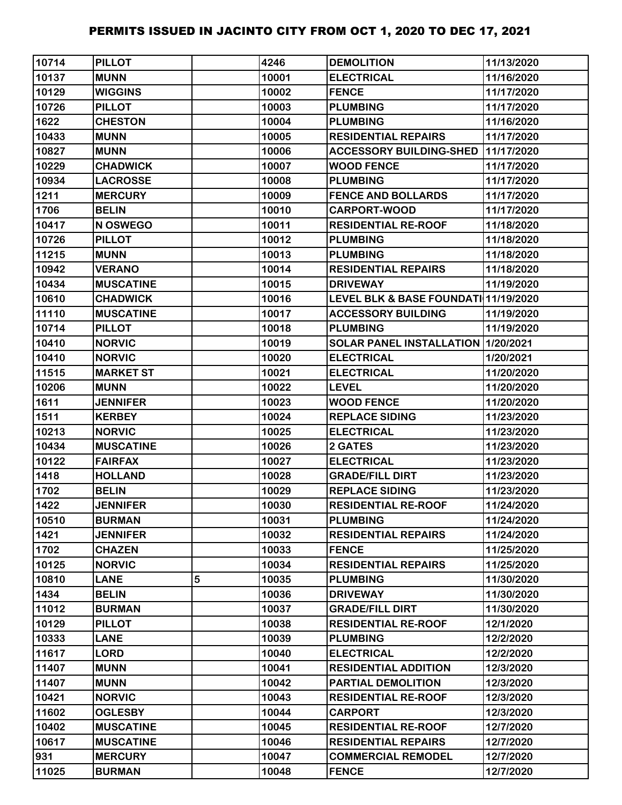| 10714 | <b>PILLOT</b>    |   | 4246  | <b>DEMOLITION</b>                    | 11/13/2020 |
|-------|------------------|---|-------|--------------------------------------|------------|
| 10137 | <b>MUNN</b>      |   | 10001 | <b>ELECTRICAL</b>                    | 11/16/2020 |
| 10129 | <b>WIGGINS</b>   |   | 10002 | <b>FENCE</b>                         | 11/17/2020 |
| 10726 | <b>PILLOT</b>    |   | 10003 | <b>PLUMBING</b>                      | 11/17/2020 |
| 1622  | <b>CHESTON</b>   |   | 10004 | <b>PLUMBING</b>                      | 11/16/2020 |
| 10433 | <b>MUNN</b>      |   | 10005 | <b>RESIDENTIAL REPAIRS</b>           | 11/17/2020 |
| 10827 | <b>MUNN</b>      |   | 10006 | <b>ACCESSORY BUILDING-SHED</b>       | 11/17/2020 |
| 10229 | <b>CHADWICK</b>  |   | 10007 | <b>WOOD FENCE</b>                    | 11/17/2020 |
| 10934 | <b>LACROSSE</b>  |   | 10008 | <b>PLUMBING</b>                      | 11/17/2020 |
| 1211  | <b>MERCURY</b>   |   | 10009 | <b>FENCE AND BOLLARDS</b>            | 11/17/2020 |
| 1706  | <b>BELIN</b>     |   | 10010 | <b>CARPORT-WOOD</b>                  | 11/17/2020 |
| 10417 | N OSWEGO         |   | 10011 | <b>RESIDENTIAL RE-ROOF</b>           | 11/18/2020 |
| 10726 | <b>PILLOT</b>    |   | 10012 | <b>PLUMBING</b>                      | 11/18/2020 |
| 11215 | <b>MUNN</b>      |   | 10013 | <b>PLUMBING</b>                      | 11/18/2020 |
| 10942 | <b>VERANO</b>    |   | 10014 | <b>RESIDENTIAL REPAIRS</b>           | 11/18/2020 |
| 10434 | <b>MUSCATINE</b> |   | 10015 | <b>DRIVEWAY</b>                      | 11/19/2020 |
| 10610 | <b>CHADWICK</b>  |   | 10016 | LEVEL BLK & BASE FOUNDATI 11/19/2020 |            |
| 11110 | <b>MUSCATINE</b> |   | 10017 | <b>ACCESSORY BUILDING</b>            | 11/19/2020 |
| 10714 | <b>PILLOT</b>    |   | 10018 | <b>PLUMBING</b>                      | 11/19/2020 |
| 10410 | <b>NORVIC</b>    |   | 10019 | SOLAR PANEL INSTALLATION 11/20/2021  |            |
| 10410 | <b>NORVIC</b>    |   | 10020 | <b>ELECTRICAL</b>                    | 1/20/2021  |
| 11515 | <b>MARKET ST</b> |   | 10021 | <b>ELECTRICAL</b>                    | 11/20/2020 |
| 10206 | <b>MUNN</b>      |   | 10022 | <b>LEVEL</b>                         | 11/20/2020 |
| 1611  | <b>JENNIFER</b>  |   | 10023 | <b>WOOD FENCE</b>                    | 11/20/2020 |
| 1511  | <b>KERBEY</b>    |   | 10024 | <b>REPLACE SIDING</b>                | 11/23/2020 |
| 10213 | <b>NORVIC</b>    |   | 10025 | <b>ELECTRICAL</b>                    | 11/23/2020 |
| 10434 | <b>MUSCATINE</b> |   | 10026 | 2 GATES                              | 11/23/2020 |
| 10122 | <b>FAIRFAX</b>   |   | 10027 | <b>ELECTRICAL</b>                    | 11/23/2020 |
| 1418  | <b>HOLLAND</b>   |   | 10028 | <b>GRADE/FILL DIRT</b>               | 11/23/2020 |
| 1702  | <b>BELIN</b>     |   | 10029 | <b>REPLACE SIDING</b>                | 11/23/2020 |
| 1422  | <b>JENNIFER</b>  |   | 10030 | <b>RESIDENTIAL RE-ROOF</b>           | 11/24/2020 |
| 10510 | <b>BURMAN</b>    |   | 10031 | <b>PLUMBING</b>                      | 11/24/2020 |
| 1421  | <b>JENNIFER</b>  |   | 10032 | <b>RESIDENTIAL REPAIRS</b>           | 11/24/2020 |
| 1702  | <b>CHAZEN</b>    |   | 10033 | <b>FENCE</b>                         | 11/25/2020 |
| 10125 | <b>NORVIC</b>    |   | 10034 | <b>RESIDENTIAL REPAIRS</b>           | 11/25/2020 |
| 10810 | <b>LANE</b>      | 5 | 10035 | <b>PLUMBING</b>                      | 11/30/2020 |
| 1434  | <b>BELIN</b>     |   | 10036 | <b>DRIVEWAY</b>                      | 11/30/2020 |
| 11012 | <b>BURMAN</b>    |   | 10037 | <b>GRADE/FILL DIRT</b>               | 11/30/2020 |
| 10129 | <b>PILLOT</b>    |   | 10038 | <b>RESIDENTIAL RE-ROOF</b>           | 12/1/2020  |
| 10333 | <b>LANE</b>      |   | 10039 | <b>PLUMBING</b>                      | 12/2/2020  |
| 11617 | <b>LORD</b>      |   | 10040 | <b>ELECTRICAL</b>                    | 12/2/2020  |
| 11407 | <b>MUNN</b>      |   | 10041 | <b>RESIDENTIAL ADDITION</b>          | 12/3/2020  |
| 11407 | <b>MUNN</b>      |   | 10042 | PARTIAL DEMOLITION                   | 12/3/2020  |
| 10421 | <b>NORVIC</b>    |   | 10043 | <b>RESIDENTIAL RE-ROOF</b>           | 12/3/2020  |
| 11602 | <b>OGLESBY</b>   |   | 10044 | <b>CARPORT</b>                       | 12/3/2020  |
| 10402 | <b>MUSCATINE</b> |   | 10045 | <b>RESIDENTIAL RE-ROOF</b>           | 12/7/2020  |
| 10617 | <b>MUSCATINE</b> |   | 10046 | <b>RESIDENTIAL REPAIRS</b>           | 12/7/2020  |
| 931   | <b>MERCURY</b>   |   | 10047 | <b>COMMERCIAL REMODEL</b>            | 12/7/2020  |
| 11025 | <b>BURMAN</b>    |   | 10048 | <b>FENCE</b>                         | 12/7/2020  |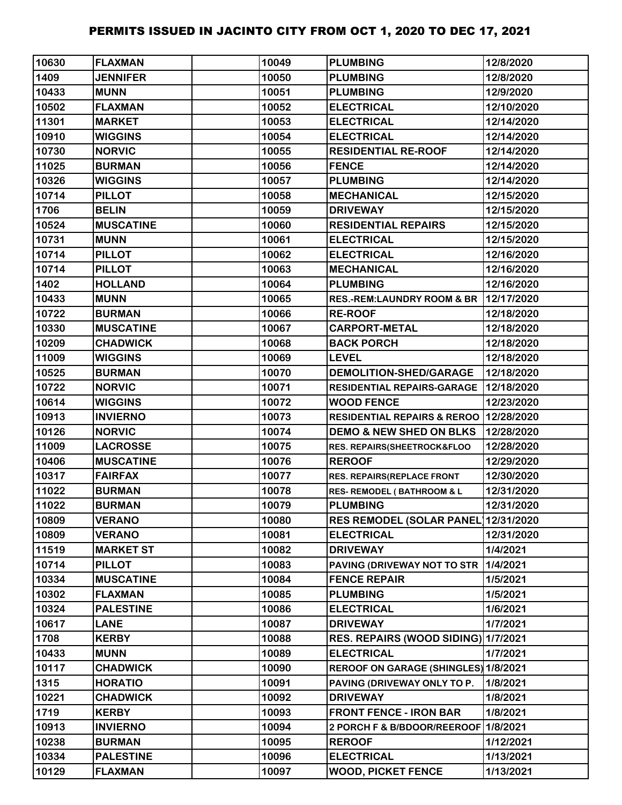| 10630 | <b>FLAXMAN</b>   | 10049 | <b>PLUMBING</b>                          | 12/8/2020  |
|-------|------------------|-------|------------------------------------------|------------|
| 1409  | <b>JENNIFER</b>  | 10050 | <b>PLUMBING</b>                          | 12/8/2020  |
| 10433 | <b>MUNN</b>      | 10051 | <b>PLUMBING</b>                          | 12/9/2020  |
| 10502 | <b>FLAXMAN</b>   | 10052 | <b>ELECTRICAL</b>                        | 12/10/2020 |
| 11301 | <b>MARKET</b>    | 10053 | <b>ELECTRICAL</b>                        | 12/14/2020 |
| 10910 | <b>WIGGINS</b>   | 10054 | <b>ELECTRICAL</b>                        | 12/14/2020 |
| 10730 | <b>NORVIC</b>    | 10055 | <b>RESIDENTIAL RE-ROOF</b>               | 12/14/2020 |
| 11025 | <b>BURMAN</b>    | 10056 | <b>FENCE</b>                             | 12/14/2020 |
| 10326 | <b>WIGGINS</b>   | 10057 | <b>PLUMBING</b>                          | 12/14/2020 |
| 10714 | <b>PILLOT</b>    | 10058 | <b>MECHANICAL</b>                        | 12/15/2020 |
| 1706  | <b>BELIN</b>     | 10059 | <b>DRIVEWAY</b>                          | 12/15/2020 |
| 10524 | <b>MUSCATINE</b> | 10060 | <b>RESIDENTIAL REPAIRS</b>               | 12/15/2020 |
| 10731 | <b>MUNN</b>      | 10061 | <b>ELECTRICAL</b>                        | 12/15/2020 |
| 10714 | <b>PILLOT</b>    | 10062 | <b>ELECTRICAL</b>                        | 12/16/2020 |
| 10714 | <b>PILLOT</b>    | 10063 | <b>MECHANICAL</b>                        | 12/16/2020 |
| 1402  | <b>HOLLAND</b>   | 10064 | <b>PLUMBING</b>                          | 12/16/2020 |
| 10433 | <b>MUNN</b>      | 10065 | <b>RES.-REM:LAUNDRY ROOM &amp; BR</b>    | 12/17/2020 |
| 10722 | <b>BURMAN</b>    | 10066 | <b>RE-ROOF</b>                           | 12/18/2020 |
| 10330 | <b>MUSCATINE</b> | 10067 | <b>CARPORT-METAL</b>                     | 12/18/2020 |
| 10209 | <b>CHADWICK</b>  | 10068 | <b>BACK PORCH</b>                        | 12/18/2020 |
| 11009 | <b>WIGGINS</b>   | 10069 | <b>LEVEL</b>                             | 12/18/2020 |
| 10525 | <b>BURMAN</b>    | 10070 | <b>DEMOLITION-SHED/GARAGE</b>            | 12/18/2020 |
| 10722 | <b>NORVIC</b>    | 10071 | <b>RESIDENTIAL REPAIRS-GARAGE</b>        | 12/18/2020 |
| 10614 | <b>WIGGINS</b>   | 10072 | <b>WOOD FENCE</b>                        | 12/23/2020 |
| 10913 | <b>INVIERNO</b>  | 10073 | RESIDENTIAL REPAIRS & REROO   12/28/2020 |            |
| 10126 | <b>NORVIC</b>    | 10074 | <b>DEMO &amp; NEW SHED ON BLKS</b>       | 12/28/2020 |
| 11009 | <b>LACROSSE</b>  | 10075 | RES. REPAIRS(SHEETROCK&FLOO              | 12/28/2020 |
| 10406 | <b>MUSCATINE</b> | 10076 | <b>REROOF</b>                            | 12/29/2020 |
| 10317 | <b>FAIRFAX</b>   | 10077 | RES. REPAIRS(REPLACE FRONT               | 12/30/2020 |
| 11022 | <b>BURMAN</b>    | 10078 | <b>RES- REMODEL (BATHROOM &amp; L</b>    | 12/31/2020 |
| 11022 | <b>BURMAN</b>    | 10079 | <b>PLUMBING</b>                          | 12/31/2020 |
| 10809 | <b>VERANO</b>    | 10080 | RES REMODEL (SOLAR PANEL 12/31/2020      |            |
| 10809 | <b>VERANO</b>    | 10081 | <b>ELECTRICAL</b>                        | 12/31/2020 |
| 11519 | <b>MARKET ST</b> | 10082 | <b>DRIVEWAY</b>                          | 1/4/2021   |
| 10714 | <b>PILLOT</b>    | 10083 | PAVING (DRIVEWAY NOT TO STR              | 1/4/2021   |
| 10334 | <b>MUSCATINE</b> | 10084 | <b>FENCE REPAIR</b>                      | 1/5/2021   |
| 10302 | <b>FLAXMAN</b>   | 10085 | <b>PLUMBING</b>                          | 1/5/2021   |
| 10324 | <b>PALESTINE</b> | 10086 | <b>ELECTRICAL</b>                        | 1/6/2021   |
| 10617 | <b>LANE</b>      | 10087 | <b>DRIVEWAY</b>                          | 1/7/2021   |
| 1708  | <b>KERBY</b>     | 10088 | RES. REPAIRS (WOOD SIDING) 1/7/2021      |            |
| 10433 | <b>MUNN</b>      | 10089 | <b>ELECTRICAL</b>                        | 1/7/2021   |
| 10117 | <b>CHADWICK</b>  | 10090 | REROOF ON GARAGE (SHINGLES) 1/8/2021     |            |
| 1315  | <b>HORATIO</b>   | 10091 | PAVING (DRIVEWAY ONLY TO P.              | 1/8/2021   |
| 10221 | <b>CHADWICK</b>  | 10092 | <b>DRIVEWAY</b>                          | 1/8/2021   |
| 1719  | <b>KERBY</b>     | 10093 | <b>FRONT FENCE - IRON BAR</b>            | 1/8/2021   |
| 10913 | <b>INVIERNO</b>  | 10094 | 2 PORCH F & B/BDOOR/REEROOF 1/8/2021     |            |
| 10238 | <b>BURMAN</b>    | 10095 | <b>REROOF</b>                            | 1/12/2021  |
| 10334 | <b>PALESTINE</b> | 10096 | <b>ELECTRICAL</b>                        | 1/13/2021  |
| 10129 | <b>FLAXMAN</b>   | 10097 | <b>WOOD, PICKET FENCE</b>                | 1/13/2021  |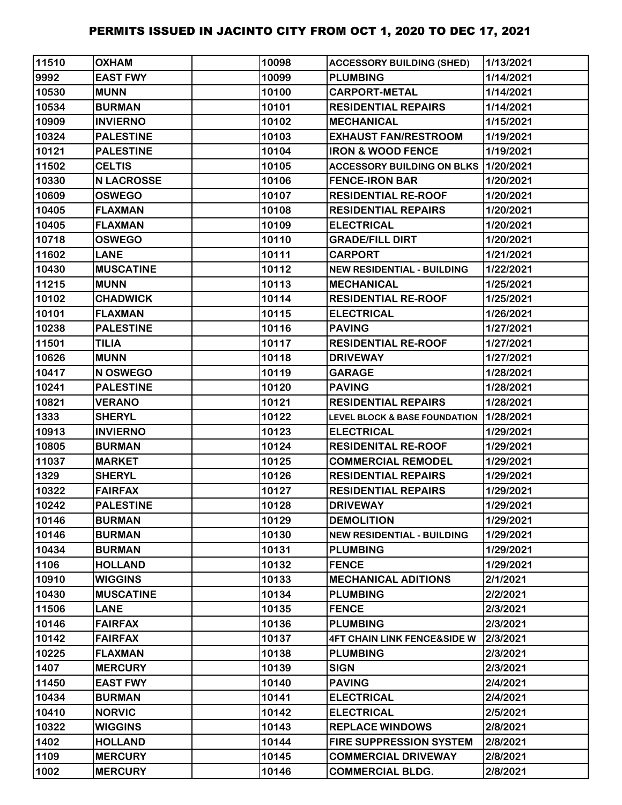| 11510 | <b>OXHAM</b>      | 10098 | <b>ACCESSORY BUILDING (SHED)</b>             | 1/13/2021 |
|-------|-------------------|-------|----------------------------------------------|-----------|
| 9992  | <b>EAST FWY</b>   | 10099 | <b>PLUMBING</b>                              | 1/14/2021 |
| 10530 | <b>MUNN</b>       | 10100 | <b>CARPORT-METAL</b>                         | 1/14/2021 |
| 10534 | <b>BURMAN</b>     | 10101 | <b>RESIDENTIAL REPAIRS</b>                   | 1/14/2021 |
| 10909 | <b>INVIERNO</b>   | 10102 | <b>MECHANICAL</b>                            | 1/15/2021 |
| 10324 | <b>PALESTINE</b>  | 10103 | <b>EXHAUST FAN/RESTROOM</b>                  | 1/19/2021 |
| 10121 | <b>PALESTINE</b>  | 10104 | <b>IRON &amp; WOOD FENCE</b>                 | 1/19/2021 |
| 11502 | <b>CELTIS</b>     | 10105 | <b>ACCESSORY BUILDING ON BLKS 11/20/2021</b> |           |
| 10330 | <b>N LACROSSE</b> | 10106 | <b>FENCE-IRON BAR</b>                        | 1/20/2021 |
| 10609 | <b>OSWEGO</b>     | 10107 | <b>RESIDENTIAL RE-ROOF</b>                   | 1/20/2021 |
| 10405 | <b>FLAXMAN</b>    | 10108 | <b>RESIDENTIAL REPAIRS</b>                   | 1/20/2021 |
| 10405 | <b>FLAXMAN</b>    | 10109 | <b>ELECTRICAL</b>                            | 1/20/2021 |
| 10718 | <b>OSWEGO</b>     | 10110 | <b>GRADE/FILL DIRT</b>                       | 1/20/2021 |
| 11602 | <b>LANE</b>       | 10111 | <b>CARPORT</b>                               | 1/21/2021 |
| 10430 | <b>MUSCATINE</b>  | 10112 | <b>NEW RESIDENTIAL - BUILDING</b>            | 1/22/2021 |
| 11215 | <b>MUNN</b>       | 10113 | <b>MECHANICAL</b>                            | 1/25/2021 |
| 10102 | <b>CHADWICK</b>   | 10114 | <b>RESIDENTIAL RE-ROOF</b>                   | 1/25/2021 |
| 10101 | <b>FLAXMAN</b>    | 10115 | <b>ELECTRICAL</b>                            | 1/26/2021 |
| 10238 | <b>PALESTINE</b>  | 10116 | <b>PAVING</b>                                | 1/27/2021 |
| 11501 | <b>TILIA</b>      | 10117 | <b>RESIDENTIAL RE-ROOF</b>                   | 1/27/2021 |
| 10626 | <b>MUNN</b>       | 10118 | <b>DRIVEWAY</b>                              | 1/27/2021 |
| 10417 | N OSWEGO          | 10119 | <b>GARAGE</b>                                | 1/28/2021 |
| 10241 | <b>PALESTINE</b>  | 10120 | <b>PAVING</b>                                | 1/28/2021 |
| 10821 | <b>VERANO</b>     | 10121 | <b>RESIDENTIAL REPAIRS</b>                   | 1/28/2021 |
| 1333  | <b>SHERYL</b>     | 10122 | LEVEL BLOCK & BASE FOUNDATION 1/28/2021      |           |
| 10913 | <b>INVIERNO</b>   | 10123 | <b>ELECTRICAL</b>                            | 1/29/2021 |
| 10805 | <b>BURMAN</b>     | 10124 | <b>RESIDENITAL RE-ROOF</b>                   | 1/29/2021 |
| 11037 | <b>MARKET</b>     | 10125 | <b>COMMERCIAL REMODEL</b>                    | 1/29/2021 |
| 1329  | <b>SHERYL</b>     | 10126 | <b>RESIDENTIAL REPAIRS</b>                   | 1/29/2021 |
| 10322 | <b>FAIRFAX</b>    | 10127 | <b>RESIDENTIAL REPAIRS</b>                   | 1/29/2021 |
| 10242 | <b>PALESTINE</b>  | 10128 | <b>DRIVEWAY</b>                              | 1/29/2021 |
| 10146 | <b>BURMAN</b>     | 10129 | <b>DEMOLITION</b>                            | 1/29/2021 |
| 10146 | <b>BURMAN</b>     | 10130 | <b>NEW RESIDENTIAL - BUILDING</b>            | 1/29/2021 |
| 10434 | <b>BURMAN</b>     | 10131 | <b>PLUMBING</b>                              | 1/29/2021 |
| 1106  | <b>HOLLAND</b>    | 10132 | <b>FENCE</b>                                 | 1/29/2021 |
| 10910 | <b>WIGGINS</b>    | 10133 | <b>MECHANICAL ADITIONS</b>                   | 2/1/2021  |
| 10430 | <b>MUSCATINE</b>  | 10134 | <b>PLUMBING</b>                              | 2/2/2021  |
| 11506 | <b>LANE</b>       | 10135 | <b>FENCE</b>                                 | 2/3/2021  |
| 10146 | <b>FAIRFAX</b>    | 10136 | <b>PLUMBING</b>                              | 2/3/2021  |
| 10142 | <b>FAIRFAX</b>    | 10137 | <b>4FT CHAIN LINK FENCE&amp;SIDE W</b>       | 2/3/2021  |
| 10225 | <b>FLAXMAN</b>    | 10138 | <b>PLUMBING</b>                              | 2/3/2021  |
| 1407  | <b>MERCURY</b>    | 10139 | <b>SIGN</b>                                  | 2/3/2021  |
| 11450 | <b>EAST FWY</b>   | 10140 | <b>PAVING</b>                                | 2/4/2021  |
| 10434 | <b>BURMAN</b>     | 10141 | <b>ELECTRICAL</b>                            | 2/4/2021  |
| 10410 | <b>NORVIC</b>     | 10142 | <b>ELECTRICAL</b>                            | 2/5/2021  |
| 10322 | <b>WIGGINS</b>    | 10143 | <b>REPLACE WINDOWS</b>                       | 2/8/2021  |
| 1402  | <b>HOLLAND</b>    | 10144 | <b>FIRE SUPPRESSION SYSTEM</b>               | 2/8/2021  |
| 1109  | <b>MERCURY</b>    | 10145 | <b>COMMERCIAL DRIVEWAY</b>                   | 2/8/2021  |
| 1002  | <b>MERCURY</b>    | 10146 | <b>COMMERCIAL BLDG.</b>                      | 2/8/2021  |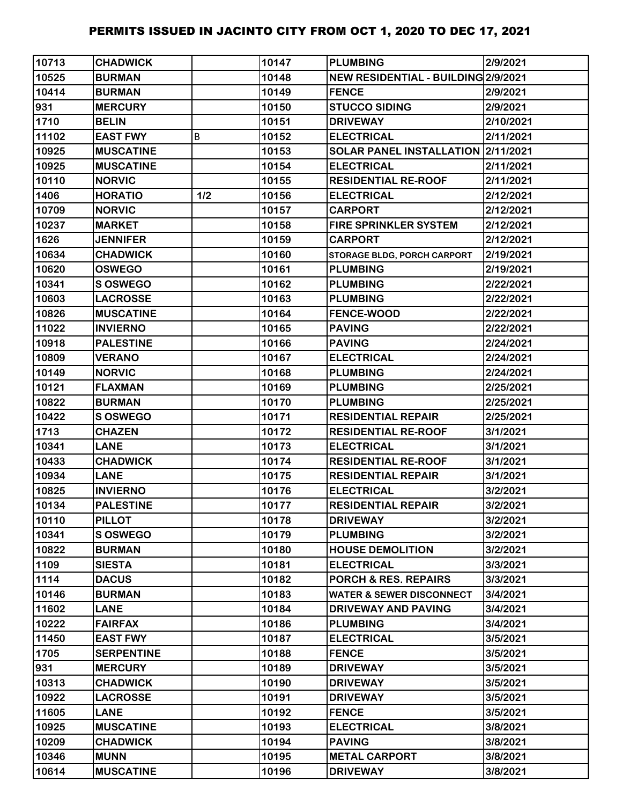| 10713 | <b>CHADWICK</b>   |     | 10147 | <b>PLUMBING</b>                     | 2/9/2021  |
|-------|-------------------|-----|-------|-------------------------------------|-----------|
| 10525 | <b>BURMAN</b>     |     | 10148 | NEW RESIDENTIAL - BUILDING 2/9/2021 |           |
| 10414 | <b>BURMAN</b>     |     | 10149 | <b>FENCE</b>                        | 2/9/2021  |
| 931   | <b>MERCURY</b>    |     | 10150 | <b>STUCCO SIDING</b>                | 2/9/2021  |
| 1710  | <b>BELIN</b>      |     | 10151 | <b>DRIVEWAY</b>                     | 2/10/2021 |
| 11102 | <b>EAST FWY</b>   | B   | 10152 | <b>ELECTRICAL</b>                   | 2/11/2021 |
| 10925 | <b>MUSCATINE</b>  |     | 10153 | SOLAR PANEL INSTALLATION 2/11/2021  |           |
| 10925 | <b>MUSCATINE</b>  |     | 10154 | <b>ELECTRICAL</b>                   | 2/11/2021 |
| 10110 | <b>NORVIC</b>     |     | 10155 | <b>RESIDENTIAL RE-ROOF</b>          | 2/11/2021 |
| 1406  | <b>HORATIO</b>    | 1/2 | 10156 | <b>ELECTRICAL</b>                   | 2/12/2021 |
| 10709 | <b>NORVIC</b>     |     | 10157 | <b>CARPORT</b>                      | 2/12/2021 |
| 10237 | <b>MARKET</b>     |     | 10158 | <b>FIRE SPRINKLER SYSTEM</b>        | 2/12/2021 |
| 1626  | <b>JENNIFER</b>   |     | 10159 | <b>CARPORT</b>                      | 2/12/2021 |
| 10634 | <b>CHADWICK</b>   |     | 10160 | STORAGE BLDG, PORCH CARPORT         | 2/19/2021 |
| 10620 | <b>OSWEGO</b>     |     | 10161 | <b>PLUMBING</b>                     | 2/19/2021 |
| 10341 | <b>S OSWEGO</b>   |     | 10162 | <b>PLUMBING</b>                     | 2/22/2021 |
| 10603 | <b>LACROSSE</b>   |     | 10163 | <b>PLUMBING</b>                     | 2/22/2021 |
| 10826 | <b>MUSCATINE</b>  |     | 10164 | <b>FENCE-WOOD</b>                   | 2/22/2021 |
| 11022 | <b>INVIERNO</b>   |     | 10165 | <b>PAVING</b>                       | 2/22/2021 |
| 10918 | <b>PALESTINE</b>  |     | 10166 | <b>PAVING</b>                       | 2/24/2021 |
| 10809 | <b>VERANO</b>     |     | 10167 | <b>ELECTRICAL</b>                   | 2/24/2021 |
| 10149 | <b>NORVIC</b>     |     | 10168 | <b>PLUMBING</b>                     | 2/24/2021 |
| 10121 | <b>FLAXMAN</b>    |     | 10169 | <b>PLUMBING</b>                     | 2/25/2021 |
| 10822 | <b>BURMAN</b>     |     | 10170 | <b>PLUMBING</b>                     | 2/25/2021 |
| 10422 | <b>S OSWEGO</b>   |     | 10171 | <b>RESIDENTIAL REPAIR</b>           | 2/25/2021 |
| 1713  | <b>CHAZEN</b>     |     | 10172 | <b>RESIDENTIAL RE-ROOF</b>          | 3/1/2021  |
| 10341 | <b>LANE</b>       |     | 10173 | <b>ELECTRICAL</b>                   | 3/1/2021  |
| 10433 | <b>CHADWICK</b>   |     | 10174 | <b>RESIDENTIAL RE-ROOF</b>          | 3/1/2021  |
| 10934 | <b>LANE</b>       |     | 10175 | <b>RESIDENTIAL REPAIR</b>           | 3/1/2021  |
| 10825 | <b>INVIERNO</b>   |     | 10176 | <b>ELECTRICAL</b>                   | 3/2/2021  |
| 10134 | <b>PALESTINE</b>  |     | 10177 | <b>RESIDENTIAL REPAIR</b>           | 3/2/2021  |
| 10110 | <b>PILLOT</b>     |     | 10178 | <b>DRIVEWAY</b>                     | 3/2/2021  |
| 10341 | <b>S OSWEGO</b>   |     | 10179 | <b>PLUMBING</b>                     | 3/2/2021  |
| 10822 | <b>BURMAN</b>     |     | 10180 | <b>HOUSE DEMOLITION</b>             | 3/2/2021  |
| 1109  | <b>SIESTA</b>     |     | 10181 | <b>ELECTRICAL</b>                   | 3/3/2021  |
| 1114  | <b>DACUS</b>      |     | 10182 | <b>PORCH &amp; RES. REPAIRS</b>     | 3/3/2021  |
| 10146 | <b>BURMAN</b>     |     | 10183 | <b>WATER &amp; SEWER DISCONNECT</b> | 3/4/2021  |
| 11602 | <b>LANE</b>       |     | 10184 | <b>DRIVEWAY AND PAVING</b>          | 3/4/2021  |
| 10222 | <b>FAIRFAX</b>    |     | 10186 | <b>PLUMBING</b>                     | 3/4/2021  |
| 11450 | <b>EAST FWY</b>   |     | 10187 | <b>ELECTRICAL</b>                   | 3/5/2021  |
| 1705  | <b>SERPENTINE</b> |     | 10188 | <b>FENCE</b>                        | 3/5/2021  |
| 931   | <b>MERCURY</b>    |     | 10189 | <b>DRIVEWAY</b>                     | 3/5/2021  |
| 10313 | <b>CHADWICK</b>   |     | 10190 | <b>DRIVEWAY</b>                     | 3/5/2021  |
| 10922 | <b>LACROSSE</b>   |     | 10191 | <b>DRIVEWAY</b>                     | 3/5/2021  |
| 11605 | <b>LANE</b>       |     | 10192 | <b>FENCE</b>                        | 3/5/2021  |
| 10925 | <b>MUSCATINE</b>  |     | 10193 | <b>ELECTRICAL</b>                   | 3/8/2021  |
| 10209 | <b>CHADWICK</b>   |     | 10194 | <b>PAVING</b>                       | 3/8/2021  |
| 10346 | <b>MUNN</b>       |     | 10195 | <b>METAL CARPORT</b>                | 3/8/2021  |
| 10614 | <b>MUSCATINE</b>  |     | 10196 | <b>DRIVEWAY</b>                     | 3/8/2021  |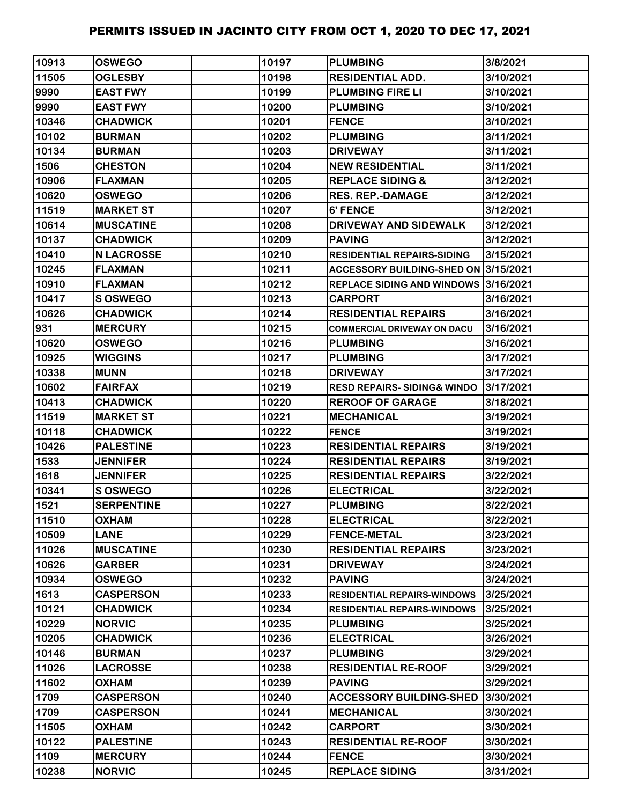| 10913 | <b>OSWEGO</b>     | 10197 | <b>PLUMBING</b>                       | 3/8/2021  |
|-------|-------------------|-------|---------------------------------------|-----------|
| 11505 | <b>OGLESBY</b>    | 10198 | <b>RESIDENTIAL ADD.</b>               | 3/10/2021 |
| 9990  | <b>EAST FWY</b>   | 10199 | <b>PLUMBING FIRE LI</b>               | 3/10/2021 |
| 9990  | <b>EAST FWY</b>   | 10200 | <b>PLUMBING</b>                       | 3/10/2021 |
| 10346 | <b>CHADWICK</b>   | 10201 | <b>FENCE</b>                          | 3/10/2021 |
| 10102 | <b>BURMAN</b>     | 10202 | <b>PLUMBING</b>                       | 3/11/2021 |
| 10134 | <b>BURMAN</b>     | 10203 | <b>DRIVEWAY</b>                       | 3/11/2021 |
| 1506  | <b>CHESTON</b>    | 10204 | <b>NEW RESIDENTIAL</b>                | 3/11/2021 |
| 10906 | <b>FLAXMAN</b>    | 10205 | <b>REPLACE SIDING &amp;</b>           | 3/12/2021 |
| 10620 | <b>OSWEGO</b>     | 10206 | <b>RES. REP.-DAMAGE</b>               | 3/12/2021 |
| 11519 | <b>MARKET ST</b>  | 10207 | <b>6' FENCE</b>                       | 3/12/2021 |
| 10614 | <b>MUSCATINE</b>  | 10208 | DRIVEWAY AND SIDEWALK                 | 3/12/2021 |
| 10137 | <b>CHADWICK</b>   | 10209 | <b>PAVING</b>                         | 3/12/2021 |
| 10410 | <b>N LACROSSE</b> | 10210 | <b>RESIDENTIAL REPAIRS-SIDING</b>     | 3/15/2021 |
| 10245 | <b>FLAXMAN</b>    | 10211 | ACCESSORY BUILDING-SHED ON 3/15/2021  |           |
| 10910 | <b>FLAXMAN</b>    | 10212 | REPLACE SIDING AND WINDOWS 3/16/2021  |           |
| 10417 | S OSWEGO          | 10213 | <b>CARPORT</b>                        | 3/16/2021 |
| 10626 | <b>CHADWICK</b>   | 10214 | <b>RESIDENTIAL REPAIRS</b>            | 3/16/2021 |
| 931   | <b>MERCURY</b>    | 10215 | <b>COMMERCIAL DRIVEWAY ON DACU</b>    | 3/16/2021 |
| 10620 | <b>OSWEGO</b>     | 10216 | <b>PLUMBING</b>                       | 3/16/2021 |
| 10925 | <b>WIGGINS</b>    | 10217 | <b>PLUMBING</b>                       | 3/17/2021 |
| 10338 | <b>MUNN</b>       | 10218 | <b>DRIVEWAY</b>                       | 3/17/2021 |
| 10602 | <b>FAIRFAX</b>    | 10219 | <b>RESD REPAIRS-SIDING&amp; WINDO</b> | 3/17/2021 |
| 10413 | <b>CHADWICK</b>   | 10220 | <b>REROOF OF GARAGE</b>               | 3/18/2021 |
| 11519 | <b>MARKET ST</b>  | 10221 | <b>MECHANICAL</b>                     | 3/19/2021 |
| 10118 | <b>CHADWICK</b>   | 10222 | <b>FENCE</b>                          | 3/19/2021 |
| 10426 | <b>PALESTINE</b>  | 10223 | <b>RESIDENTIAL REPAIRS</b>            | 3/19/2021 |
| 1533  | <b>JENNIFER</b>   | 10224 | <b>RESIDENTIAL REPAIRS</b>            | 3/19/2021 |
| 1618  | <b>JENNIFER</b>   | 10225 | <b>RESIDENTIAL REPAIRS</b>            | 3/22/2021 |
| 10341 | S OSWEGO          | 10226 | <b>ELECTRICAL</b>                     | 3/22/2021 |
| 1521  | <b>SERPENTINE</b> | 10227 | <b>PLUMBING</b>                       | 3/22/2021 |
| 11510 | <b>OXHAM</b>      | 10228 | <b>ELECTRICAL</b>                     | 3/22/2021 |
| 10509 | <b>LANE</b>       | 10229 | <b>FENCE-METAL</b>                    | 3/23/2021 |
| 11026 | <b>MUSCATINE</b>  | 10230 | <b>RESIDENTIAL REPAIRS</b>            | 3/23/2021 |
| 10626 | <b>GARBER</b>     | 10231 | <b>DRIVEWAY</b>                       | 3/24/2021 |
| 10934 | <b>OSWEGO</b>     | 10232 | <b>PAVING</b>                         | 3/24/2021 |
| 1613  | <b>CASPERSON</b>  | 10233 | <b>RESIDENTIAL REPAIRS-WINDOWS</b>    | 3/25/2021 |
| 10121 | <b>CHADWICK</b>   | 10234 | <b>RESIDENTIAL REPAIRS-WINDOWS</b>    | 3/25/2021 |
| 10229 | <b>NORVIC</b>     | 10235 | <b>PLUMBING</b>                       | 3/25/2021 |
| 10205 | <b>CHADWICK</b>   | 10236 | <b>ELECTRICAL</b>                     | 3/26/2021 |
| 10146 | <b>BURMAN</b>     | 10237 | <b>PLUMBING</b>                       | 3/29/2021 |
| 11026 | <b>LACROSSE</b>   | 10238 | <b>RESIDENTIAL RE-ROOF</b>            | 3/29/2021 |
| 11602 | <b>OXHAM</b>      | 10239 | <b>PAVING</b>                         | 3/29/2021 |
| 1709  | <b>CASPERSON</b>  | 10240 | <b>ACCESSORY BUILDING-SHED</b>        | 3/30/2021 |
| 1709  | <b>CASPERSON</b>  | 10241 | <b>MECHANICAL</b>                     | 3/30/2021 |
| 11505 | <b>OXHAM</b>      | 10242 | <b>CARPORT</b>                        | 3/30/2021 |
| 10122 | <b>PALESTINE</b>  | 10243 | <b>RESIDENTIAL RE-ROOF</b>            | 3/30/2021 |
| 1109  | <b>MERCURY</b>    | 10244 | <b>FENCE</b>                          | 3/30/2021 |
| 10238 | <b>NORVIC</b>     | 10245 | <b>REPLACE SIDING</b>                 | 3/31/2021 |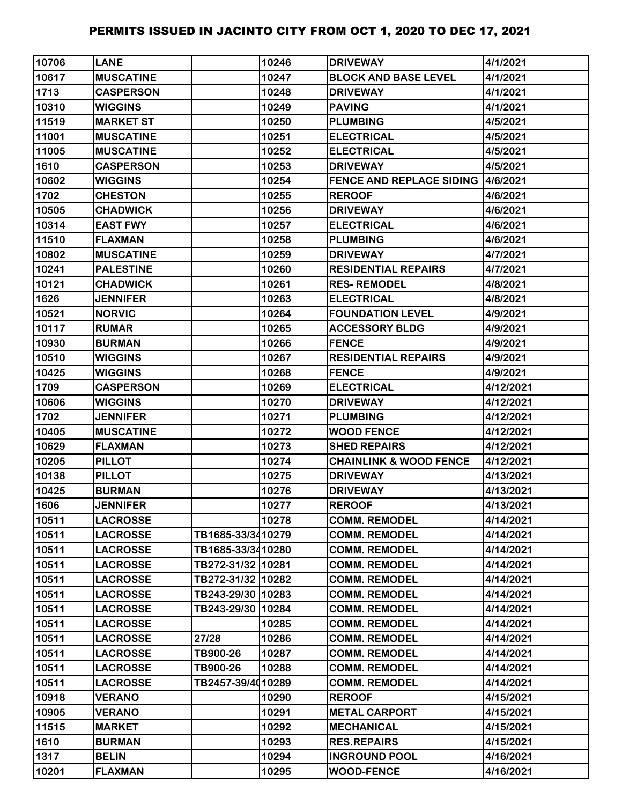| 10706 | <b>LANE</b>      |                   | 10246 | <b>DRIVEWAY</b>                   | 4/1/2021  |
|-------|------------------|-------------------|-------|-----------------------------------|-----------|
| 10617 | <b>MUSCATINE</b> |                   | 10247 | <b>BLOCK AND BASE LEVEL</b>       | 4/1/2021  |
| 1713  | <b>CASPERSON</b> |                   | 10248 | <b>DRIVEWAY</b>                   | 4/1/2021  |
| 10310 | <b>WIGGINS</b>   |                   | 10249 | <b>PAVING</b>                     | 4/1/2021  |
| 11519 | <b>MARKET ST</b> |                   | 10250 | <b>PLUMBING</b>                   | 4/5/2021  |
| 11001 | <b>MUSCATINE</b> |                   | 10251 | <b>ELECTRICAL</b>                 | 4/5/2021  |
| 11005 | <b>MUSCATINE</b> |                   | 10252 | <b>ELECTRICAL</b>                 | 4/5/2021  |
| 1610  | <b>CASPERSON</b> |                   | 10253 | <b>DRIVEWAY</b>                   | 4/5/2021  |
| 10602 | <b>WIGGINS</b>   |                   | 10254 | FENCE AND REPLACE SIDING 4/6/2021 |           |
| 1702  | <b>CHESTON</b>   |                   | 10255 | <b>REROOF</b>                     | 4/6/2021  |
| 10505 | <b>CHADWICK</b>  |                   | 10256 | <b>DRIVEWAY</b>                   | 4/6/2021  |
| 10314 | <b>EAST FWY</b>  |                   | 10257 | <b>ELECTRICAL</b>                 | 4/6/2021  |
| 11510 | <b>FLAXMAN</b>   |                   | 10258 | <b>PLUMBING</b>                   | 4/6/2021  |
| 10802 | <b>MUSCATINE</b> |                   | 10259 | <b>DRIVEWAY</b>                   | 4/7/2021  |
| 10241 | <b>PALESTINE</b> |                   | 10260 | <b>RESIDENTIAL REPAIRS</b>        | 4/7/2021  |
| 10121 | <b>CHADWICK</b>  |                   | 10261 | <b>RES-REMODEL</b>                | 4/8/2021  |
| 1626  | <b>JENNIFER</b>  |                   | 10263 | <b>ELECTRICAL</b>                 | 4/8/2021  |
| 10521 | <b>NORVIC</b>    |                   | 10264 | <b>FOUNDATION LEVEL</b>           | 4/9/2021  |
| 10117 | <b>RUMAR</b>     |                   | 10265 | <b>ACCESSORY BLDG</b>             | 4/9/2021  |
| 10930 | <b>BURMAN</b>    |                   | 10266 | <b>FENCE</b>                      | 4/9/2021  |
| 10510 | <b>WIGGINS</b>   |                   | 10267 | <b>RESIDENTIAL REPAIRS</b>        | 4/9/2021  |
| 10425 | <b>WIGGINS</b>   |                   | 10268 | <b>FENCE</b>                      | 4/9/2021  |
| 1709  | <b>CASPERSON</b> |                   | 10269 | <b>ELECTRICAL</b>                 | 4/12/2021 |
| 10606 | <b>WIGGINS</b>   |                   | 10270 | <b>DRIVEWAY</b>                   | 4/12/2021 |
| 1702  | <b>JENNIFER</b>  |                   | 10271 | <b>PLUMBING</b>                   | 4/12/2021 |
| 10405 | <b>MUSCATINE</b> |                   | 10272 | <b>WOOD FENCE</b>                 | 4/12/2021 |
| 10629 | <b>FLAXMAN</b>   |                   | 10273 | <b>SHED REPAIRS</b>               | 4/12/2021 |
| 10205 | <b>PILLOT</b>    |                   | 10274 | <b>CHAINLINK &amp; WOOD FENCE</b> | 4/12/2021 |
| 10138 | <b>PILLOT</b>    |                   | 10275 | <b>DRIVEWAY</b>                   | 4/13/2021 |
| 10425 | <b>BURMAN</b>    |                   | 10276 | <b>DRIVEWAY</b>                   | 4/13/2021 |
| 1606  | <b>JENNIFER</b>  |                   | 10277 | <b>REROOF</b>                     | 4/13/2021 |
| 10511 | <b>LACROSSE</b>  |                   | 10278 | <b>COMM. REMODEL</b>              | 4/14/2021 |
| 10511 | <b>LACROSSE</b>  | TB1685-33/3410279 |       | <b>COMM. REMODEL</b>              | 4/14/2021 |
| 10511 | <b>LACROSSE</b>  | TB1685-33/3410280 |       | <b>COMM. REMODEL</b>              | 4/14/2021 |
| 10511 | <b>LACROSSE</b>  | TB272-31/32 10281 |       | <b>COMM. REMODEL</b>              | 4/14/2021 |
| 10511 | <b>LACROSSE</b>  | TB272-31/32 10282 |       | <b>COMM. REMODEL</b>              | 4/14/2021 |
| 10511 | <b>LACROSSE</b>  | TB243-29/30 10283 |       | <b>COMM. REMODEL</b>              | 4/14/2021 |
| 10511 | <b>LACROSSE</b>  | TB243-29/30 10284 |       | <b>COMM. REMODEL</b>              | 4/14/2021 |
| 10511 | <b>LACROSSE</b>  |                   | 10285 | <b>COMM. REMODEL</b>              | 4/14/2021 |
| 10511 | <b>LACROSSE</b>  | 27/28             | 10286 | <b>COMM. REMODEL</b>              | 4/14/2021 |
| 10511 | <b>LACROSSE</b>  | TB900-26          | 10287 | <b>COMM. REMODEL</b>              | 4/14/2021 |
| 10511 | <b>LACROSSE</b>  | TB900-26          | 10288 | <b>COMM. REMODEL</b>              | 4/14/2021 |
| 10511 | <b>LACROSSE</b>  | TB2457-39/4010289 |       | <b>COMM. REMODEL</b>              | 4/14/2021 |
| 10918 | <b>VERANO</b>    |                   | 10290 | <b>REROOF</b>                     | 4/15/2021 |
| 10905 | <b>VERANO</b>    |                   | 10291 | <b>METAL CARPORT</b>              | 4/15/2021 |
| 11515 | <b>MARKET</b>    |                   | 10292 | <b>MECHANICAL</b>                 | 4/15/2021 |
| 1610  | <b>BURMAN</b>    |                   | 10293 | <b>RES.REPAIRS</b>                | 4/15/2021 |
| 1317  | <b>BELIN</b>     |                   | 10294 | <b>INGROUND POOL</b>              | 4/16/2021 |
| 10201 | <b>FLAXMAN</b>   |                   | 10295 | <b>WOOD-FENCE</b>                 | 4/16/2021 |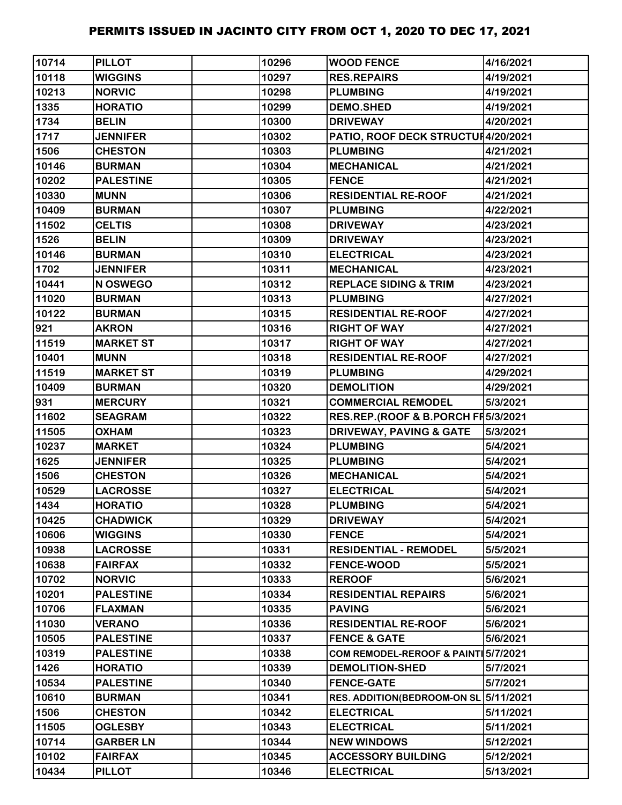| 10714 | <b>PILLOT</b>    | 10296 | <b>WOOD FENCE</b>                   | 4/16/2021 |
|-------|------------------|-------|-------------------------------------|-----------|
| 10118 | <b>WIGGINS</b>   | 10297 | <b>RES.REPAIRS</b>                  | 4/19/2021 |
| 10213 | <b>NORVIC</b>    | 10298 | <b>PLUMBING</b>                     | 4/19/2021 |
| 1335  | <b>HORATIO</b>   | 10299 | <b>DEMO.SHED</b>                    | 4/19/2021 |
| 1734  | <b>BELIN</b>     | 10300 | <b>DRIVEWAY</b>                     | 4/20/2021 |
| 1717  | <b>JENNIFER</b>  | 10302 | PATIO, ROOF DECK STRUCTUI4/20/2021  |           |
| 1506  | <b>CHESTON</b>   | 10303 | <b>PLUMBING</b>                     | 4/21/2021 |
| 10146 | <b>BURMAN</b>    | 10304 | <b>MECHANICAL</b>                   | 4/21/2021 |
| 10202 | <b>PALESTINE</b> | 10305 | <b>FENCE</b>                        | 4/21/2021 |
| 10330 | <b>MUNN</b>      | 10306 | <b>RESIDENTIAL RE-ROOF</b>          | 4/21/2021 |
| 10409 | <b>BURMAN</b>    | 10307 | <b>PLUMBING</b>                     | 4/22/2021 |
| 11502 | <b>CELTIS</b>    | 10308 | <b>DRIVEWAY</b>                     | 4/23/2021 |
| 1526  | <b>BELIN</b>     | 10309 | <b>DRIVEWAY</b>                     | 4/23/2021 |
| 10146 | <b>BURMAN</b>    | 10310 | <b>ELECTRICAL</b>                   | 4/23/2021 |
| 1702  | <b>JENNIFER</b>  | 10311 | <b>MECHANICAL</b>                   | 4/23/2021 |
| 10441 | N OSWEGO         | 10312 | <b>REPLACE SIDING &amp; TRIM</b>    | 4/23/2021 |
| 11020 | <b>BURMAN</b>    | 10313 | <b>PLUMBING</b>                     | 4/27/2021 |
| 10122 | <b>BURMAN</b>    | 10315 | <b>RESIDENTIAL RE-ROOF</b>          | 4/27/2021 |
| 921   | <b>AKRON</b>     | 10316 | <b>RIGHT OF WAY</b>                 | 4/27/2021 |
| 11519 | <b>MARKET ST</b> | 10317 | <b>RIGHT OF WAY</b>                 | 4/27/2021 |
| 10401 | <b>MUNN</b>      | 10318 | <b>RESIDENTIAL RE-ROOF</b>          | 4/27/2021 |
| 11519 | <b>MARKET ST</b> | 10319 | <b>PLUMBING</b>                     | 4/29/2021 |
| 10409 | <b>BURMAN</b>    | 10320 | <b>DEMOLITION</b>                   | 4/29/2021 |
| 931   | <b>MERCURY</b>   | 10321 | <b>COMMERCIAL REMODEL</b>           | 5/3/2021  |
| 11602 | <b>SEAGRAM</b>   | 10322 | RES.REP.(ROOF & B.PORCH FF 5/3/2021 |           |
| 11505 | <b>OXHAM</b>     | 10323 | <b>DRIVEWAY, PAVING &amp; GATE</b>  | 5/3/2021  |
| 10237 | <b>MARKET</b>    | 10324 | <b>PLUMBING</b>                     | 5/4/2021  |
| 1625  | <b>JENNIFER</b>  | 10325 | <b>PLUMBING</b>                     | 5/4/2021  |
| 1506  | <b>CHESTON</b>   | 10326 | <b>MECHANICAL</b>                   | 5/4/2021  |
| 10529 | <b>LACROSSE</b>  | 10327 | <b>ELECTRICAL</b>                   | 5/4/2021  |
| 1434  | <b>HORATIO</b>   | 10328 | <b>PLUMBING</b>                     | 5/4/2021  |
| 10425 | <b>CHADWICK</b>  | 10329 | <b>DRIVEWAY</b>                     | 5/4/2021  |
| 10606 | <b>WIGGINS</b>   | 10330 | <b>FENCE</b>                        | 5/4/2021  |
| 10938 | <b>LACROSSE</b>  | 10331 | <b>RESIDENTIAL - REMODEL</b>        | 5/5/2021  |
| 10638 | <b>FAIRFAX</b>   | 10332 | <b>FENCE-WOOD</b>                   | 5/5/2021  |
| 10702 | <b>NORVIC</b>    | 10333 | <b>REROOF</b>                       | 5/6/2021  |
| 10201 | <b>PALESTINE</b> | 10334 | <b>RESIDENTIAL REPAIRS</b>          | 5/6/2021  |
| 10706 | <b>FLAXMAN</b>   | 10335 | <b>PAVING</b>                       | 5/6/2021  |
| 11030 | <b>VERANO</b>    | 10336 | <b>RESIDENTIAL RE-ROOF</b>          | 5/6/2021  |
| 10505 | <b>PALESTINE</b> | 10337 | <b>FENCE &amp; GATE</b>             | 5/6/2021  |
| 10319 | <b>PALESTINE</b> | 10338 | COM REMODEL-REROOF & PAINT 5/7/2021 |           |
| 1426  | <b>HORATIO</b>   | 10339 | <b>DEMOLITION-SHED</b>              | 5/7/2021  |
| 10534 | <b>PALESTINE</b> | 10340 | <b>FENCE-GATE</b>                   | 5/7/2021  |
| 10610 | <b>BURMAN</b>    | 10341 | <b>RES. ADDITION(BEDROOM-ON SL)</b> | 5/11/2021 |
| 1506  | <b>CHESTON</b>   | 10342 | <b>ELECTRICAL</b>                   | 5/11/2021 |
| 11505 | <b>OGLESBY</b>   | 10343 | <b>ELECTRICAL</b>                   | 5/11/2021 |
| 10714 | <b>GARBER LN</b> | 10344 | <b>NEW WINDOWS</b>                  | 5/12/2021 |
| 10102 | <b>FAIRFAX</b>   | 10345 | <b>ACCESSORY BUILDING</b>           | 5/12/2021 |
| 10434 | <b>PILLOT</b>    | 10346 | <b>ELECTRICAL</b>                   | 5/13/2021 |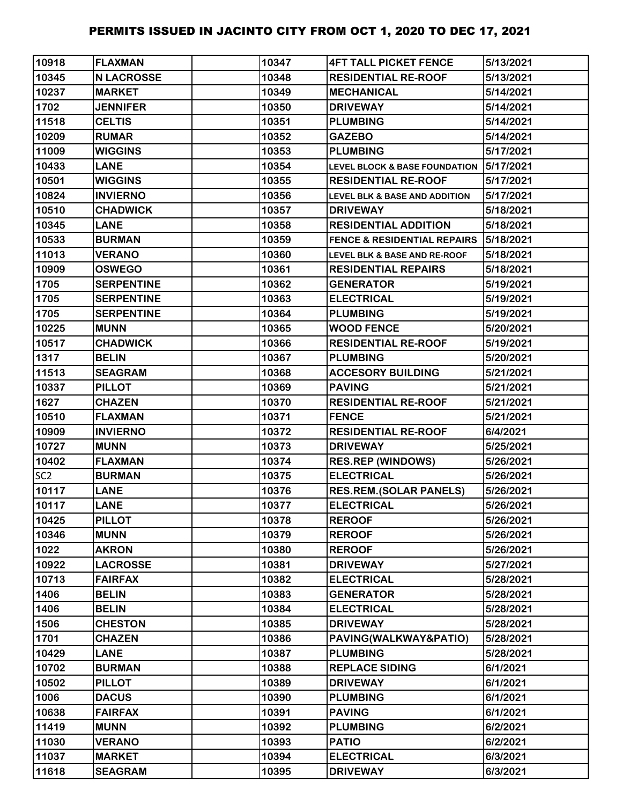| 10918           | <b>FLAXMAN</b>    | 10347 | <b>4FT TALL PICKET FENCE</b>             | 5/13/2021 |
|-----------------|-------------------|-------|------------------------------------------|-----------|
| 10345           | <b>N LACROSSE</b> | 10348 | <b>RESIDENTIAL RE-ROOF</b>               | 5/13/2021 |
| 10237           | <b>MARKET</b>     | 10349 | <b>MECHANICAL</b>                        | 5/14/2021 |
| 1702            | <b>JENNIFER</b>   | 10350 | <b>DRIVEWAY</b>                          | 5/14/2021 |
| 11518           | <b>CELTIS</b>     | 10351 | <b>PLUMBING</b>                          | 5/14/2021 |
| 10209           | <b>RUMAR</b>      | 10352 | <b>GAZEBO</b>                            | 5/14/2021 |
| 11009           | <b>WIGGINS</b>    | 10353 | <b>PLUMBING</b>                          | 5/17/2021 |
| 10433           | <b>LANE</b>       | 10354 | <b>LEVEL BLOCK &amp; BASE FOUNDATION</b> | 5/17/2021 |
| 10501           | <b>WIGGINS</b>    | 10355 | <b>RESIDENTIAL RE-ROOF</b>               | 5/17/2021 |
| 10824           | <b>INVIERNO</b>   | 10356 | <b>LEVEL BLK &amp; BASE AND ADDITION</b> | 5/17/2021 |
| 10510           | <b>CHADWICK</b>   | 10357 | <b>DRIVEWAY</b>                          | 5/18/2021 |
| 10345           | <b>LANE</b>       | 10358 | <b>RESIDENTIAL ADDITION</b>              | 5/18/2021 |
| 10533           | <b>BURMAN</b>     | 10359 | <b>FENCE &amp; RESIDENTIAL REPAIRS</b>   | 5/18/2021 |
| 11013           | <b>VERANO</b>     | 10360 | LEVEL BLK & BASE AND RE-ROOF             | 5/18/2021 |
| 10909           | <b>OSWEGO</b>     | 10361 | <b>RESIDENTIAL REPAIRS</b>               | 5/18/2021 |
| 1705            | <b>SERPENTINE</b> | 10362 | <b>GENERATOR</b>                         | 5/19/2021 |
| 1705            | <b>SERPENTINE</b> | 10363 | <b>ELECTRICAL</b>                        | 5/19/2021 |
| 1705            | <b>SERPENTINE</b> | 10364 | <b>PLUMBING</b>                          | 5/19/2021 |
| 10225           | <b>MUNN</b>       | 10365 | <b>WOOD FENCE</b>                        | 5/20/2021 |
| 10517           | <b>CHADWICK</b>   | 10366 | <b>RESIDENTIAL RE-ROOF</b>               | 5/19/2021 |
| 1317            | <b>BELIN</b>      | 10367 | <b>PLUMBING</b>                          | 5/20/2021 |
| 11513           | <b>SEAGRAM</b>    | 10368 | <b>ACCESORY BUILDING</b>                 | 5/21/2021 |
| 10337           | <b>PILLOT</b>     | 10369 | <b>PAVING</b>                            | 5/21/2021 |
| 1627            | <b>CHAZEN</b>     | 10370 | <b>RESIDENTIAL RE-ROOF</b>               | 5/21/2021 |
| 10510           | <b>FLAXMAN</b>    | 10371 | <b>FENCE</b>                             | 5/21/2021 |
| 10909           | <b>INVIERNO</b>   | 10372 | <b>RESIDENTIAL RE-ROOF</b>               | 6/4/2021  |
| 10727           | <b>MUNN</b>       | 10373 | <b>DRIVEWAY</b>                          | 5/25/2021 |
| 10402           | <b>FLAXMAN</b>    | 10374 | <b>RES.REP (WINDOWS)</b>                 | 5/26/2021 |
| SC <sub>2</sub> | <b>BURMAN</b>     | 10375 | <b>ELECTRICAL</b>                        | 5/26/2021 |
| 10117           | <b>LANE</b>       | 10376 | <b>RES.REM.(SOLAR PANELS)</b>            | 5/26/2021 |
| 10117           | <b>LANE</b>       | 10377 | <b>ELECTRICAL</b>                        | 5/26/2021 |
| 10425           | <b>PILLOT</b>     | 10378 | <b>REROOF</b>                            | 5/26/2021 |
| 10346           | <b>MUNN</b>       | 10379 | <b>REROOF</b>                            | 5/26/2021 |
| 1022            | <b>AKRON</b>      | 10380 | <b>REROOF</b>                            | 5/26/2021 |
| 10922           | <b>LACROSSE</b>   | 10381 | <b>DRIVEWAY</b>                          | 5/27/2021 |
| 10713           | <b>FAIRFAX</b>    | 10382 | <b>ELECTRICAL</b>                        | 5/28/2021 |
| 1406            | <b>BELIN</b>      | 10383 | <b>GENERATOR</b>                         | 5/28/2021 |
| 1406            | <b>BELIN</b>      | 10384 | <b>ELECTRICAL</b>                        | 5/28/2021 |
| 1506            | <b>CHESTON</b>    | 10385 | <b>DRIVEWAY</b>                          | 5/28/2021 |
| 1701            | <b>CHAZEN</b>     | 10386 | PAVING(WALKWAY&PATIO)                    | 5/28/2021 |
| 10429           | <b>LANE</b>       | 10387 | <b>PLUMBING</b>                          | 5/28/2021 |
| 10702           | <b>BURMAN</b>     | 10388 | <b>REPLACE SIDING</b>                    | 6/1/2021  |
| 10502           | <b>PILLOT</b>     | 10389 | <b>DRIVEWAY</b>                          | 6/1/2021  |
| 1006            | <b>DACUS</b>      | 10390 | <b>PLUMBING</b>                          | 6/1/2021  |
| 10638           | <b>FAIRFAX</b>    | 10391 | <b>PAVING</b>                            | 6/1/2021  |
| 11419           | <b>MUNN</b>       | 10392 | <b>PLUMBING</b>                          | 6/2/2021  |
| 11030           | <b>VERANO</b>     | 10393 | <b>PATIO</b>                             | 6/2/2021  |
| 11037           | <b>MARKET</b>     | 10394 | <b>ELECTRICAL</b>                        | 6/3/2021  |
| 11618           | <b>SEAGRAM</b>    | 10395 | <b>DRIVEWAY</b>                          | 6/3/2021  |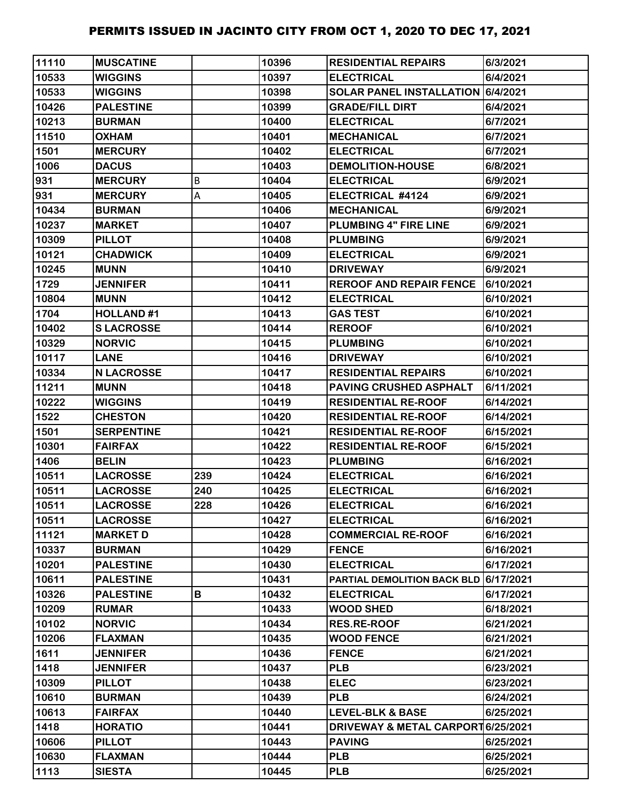| 11110 | <b>MUSCATINE</b>  |     | 10396 | <b>RESIDENTIAL REPAIRS</b>               | 6/3/2021  |
|-------|-------------------|-----|-------|------------------------------------------|-----------|
| 10533 | <b>WIGGINS</b>    |     | 10397 | <b>ELECTRICAL</b>                        | 6/4/2021  |
| 10533 | <b>WIGGINS</b>    |     | 10398 | <b>SOLAR PANEL INSTALLATION 6/4/2021</b> |           |
| 10426 | <b>PALESTINE</b>  |     | 10399 | <b>GRADE/FILL DIRT</b>                   | 6/4/2021  |
| 10213 | <b>BURMAN</b>     |     | 10400 | <b>ELECTRICAL</b>                        | 6/7/2021  |
| 11510 | <b>OXHAM</b>      |     | 10401 | <b>MECHANICAL</b>                        | 6/7/2021  |
| 1501  | <b>MERCURY</b>    |     | 10402 | <b>ELECTRICAL</b>                        | 6/7/2021  |
| 1006  | <b>DACUS</b>      |     | 10403 | <b>DEMOLITION-HOUSE</b>                  | 6/8/2021  |
| 931   | <b>MERCURY</b>    | B   | 10404 | <b>ELECTRICAL</b>                        | 6/9/2021  |
| 931   | <b>MERCURY</b>    | А   | 10405 | ELECTRICAL #4124                         | 6/9/2021  |
| 10434 | <b>BURMAN</b>     |     | 10406 | <b>MECHANICAL</b>                        | 6/9/2021  |
| 10237 | <b>MARKET</b>     |     | 10407 | <b>PLUMBING 4" FIRE LINE</b>             | 6/9/2021  |
| 10309 | <b>PILLOT</b>     |     | 10408 | <b>PLUMBING</b>                          | 6/9/2021  |
| 10121 | <b>CHADWICK</b>   |     | 10409 | <b>ELECTRICAL</b>                        | 6/9/2021  |
| 10245 | <b>MUNN</b>       |     | 10410 | <b>DRIVEWAY</b>                          | 6/9/2021  |
| 1729  | <b>JENNIFER</b>   |     | 10411 | <b>REROOF AND REPAIR FENCE</b>           | 6/10/2021 |
| 10804 | <b>MUNN</b>       |     | 10412 | <b>ELECTRICAL</b>                        | 6/10/2021 |
| 1704  | <b>HOLLAND#1</b>  |     | 10413 | <b>GAS TEST</b>                          | 6/10/2021 |
| 10402 | <b>SLACROSSE</b>  |     | 10414 | <b>REROOF</b>                            | 6/10/2021 |
| 10329 | <b>NORVIC</b>     |     | 10415 | <b>PLUMBING</b>                          | 6/10/2021 |
| 10117 | <b>LANE</b>       |     | 10416 | <b>DRIVEWAY</b>                          | 6/10/2021 |
| 10334 | <b>N LACROSSE</b> |     | 10417 | <b>RESIDENTIAL REPAIRS</b>               | 6/10/2021 |
| 11211 | <b>MUNN</b>       |     | 10418 | PAVING CRUSHED ASPHALT                   | 6/11/2021 |
| 10222 | <b>WIGGINS</b>    |     | 10419 | <b>RESIDENTIAL RE-ROOF</b>               | 6/14/2021 |
| 1522  | <b>CHESTON</b>    |     | 10420 | <b>RESIDENTIAL RE-ROOF</b>               | 6/14/2021 |
| 1501  | <b>SERPENTINE</b> |     | 10421 | <b>RESIDENTIAL RE-ROOF</b>               | 6/15/2021 |
| 10301 | <b>FAIRFAX</b>    |     | 10422 | <b>RESIDENTIAL RE-ROOF</b>               | 6/15/2021 |
| 1406  | <b>BELIN</b>      |     | 10423 | <b>PLUMBING</b>                          | 6/16/2021 |
| 10511 | <b>LACROSSE</b>   | 239 | 10424 | <b>ELECTRICAL</b>                        | 6/16/2021 |
| 10511 | <b>LACROSSE</b>   | 240 | 10425 | <b>ELECTRICAL</b>                        | 6/16/2021 |
| 10511 | <b>LACROSSE</b>   | 228 | 10426 | <b>ELECTRICAL</b>                        | 6/16/2021 |
| 10511 | <b>LACROSSE</b>   |     | 10427 | <b>ELECTRICAL</b>                        | 6/16/2021 |
| 11121 | <b>MARKET D</b>   |     | 10428 | <b>COMMERCIAL RE-ROOF</b>                | 6/16/2021 |
| 10337 | <b>BURMAN</b>     |     | 10429 | <b>FENCE</b>                             | 6/16/2021 |
| 10201 | <b>PALESTINE</b>  |     | 10430 | <b>ELECTRICAL</b>                        | 6/17/2021 |
| 10611 | <b>PALESTINE</b>  |     | 10431 | PARTIAL DEMOLITION BACK BLD 6/17/2021    |           |
| 10326 | <b>PALESTINE</b>  | В   | 10432 | <b>ELECTRICAL</b>                        | 6/17/2021 |
| 10209 | <b>RUMAR</b>      |     | 10433 | <b>WOOD SHED</b>                         | 6/18/2021 |
| 10102 | <b>NORVIC</b>     |     | 10434 | <b>RES.RE-ROOF</b>                       | 6/21/2021 |
| 10206 | <b>FLAXMAN</b>    |     | 10435 | <b>WOOD FENCE</b>                        | 6/21/2021 |
| 1611  | <b>JENNIFER</b>   |     | 10436 | <b>FENCE</b>                             | 6/21/2021 |
| 1418  | <b>JENNIFER</b>   |     | 10437 | <b>PLB</b>                               | 6/23/2021 |
| 10309 | <b>PILLOT</b>     |     | 10438 | <b>ELEC</b>                              | 6/23/2021 |
| 10610 | <b>BURMAN</b>     |     | 10439 | <b>PLB</b>                               | 6/24/2021 |
| 10613 | <b>FAIRFAX</b>    |     | 10440 | <b>LEVEL-BLK &amp; BASE</b>              | 6/25/2021 |
| 1418  | <b>HORATIO</b>    |     | 10441 | DRIVEWAY & METAL CARPORT 6/25/2021       |           |
| 10606 | <b>PILLOT</b>     |     | 10443 | <b>PAVING</b>                            | 6/25/2021 |
| 10630 | <b>FLAXMAN</b>    |     | 10444 | <b>PLB</b>                               | 6/25/2021 |
| 1113  | <b>SIESTA</b>     |     | 10445 | <b>PLB</b>                               | 6/25/2021 |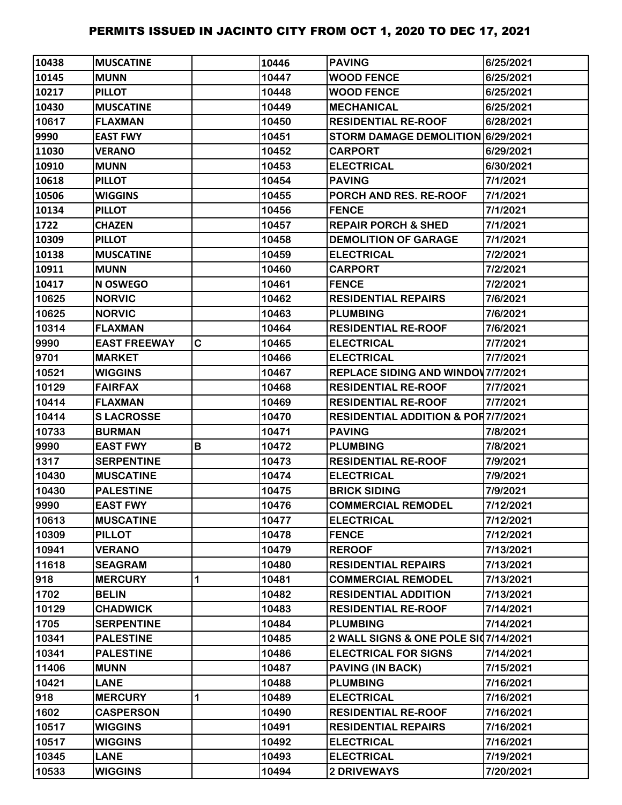| 10438 | <b>MUSCATINE</b>    |   | 10446 | <b>PAVING</b>                                 | 6/25/2021 |
|-------|---------------------|---|-------|-----------------------------------------------|-----------|
| 10145 | <b>MUNN</b>         |   | 10447 | <b>WOOD FENCE</b>                             | 6/25/2021 |
| 10217 | <b>PILLOT</b>       |   | 10448 | <b>WOOD FENCE</b>                             | 6/25/2021 |
| 10430 | <b>MUSCATINE</b>    |   | 10449 | <b>MECHANICAL</b>                             | 6/25/2021 |
| 10617 | <b>FLAXMAN</b>      |   | 10450 | <b>RESIDENTIAL RE-ROOF</b>                    | 6/28/2021 |
| 9990  | <b>EAST FWY</b>     |   | 10451 | STORM DAMAGE DEMOLITION 6/29/2021             |           |
| 11030 | <b>VERANO</b>       |   | 10452 | <b>CARPORT</b>                                | 6/29/2021 |
| 10910 | <b>MUNN</b>         |   | 10453 | <b>ELECTRICAL</b>                             | 6/30/2021 |
| 10618 | <b>PILLOT</b>       |   | 10454 | <b>PAVING</b>                                 | 7/1/2021  |
| 10506 | <b>WIGGINS</b>      |   | 10455 | PORCH AND RES. RE-ROOF                        | 7/1/2021  |
| 10134 | <b>PILLOT</b>       |   | 10456 | <b>FENCE</b>                                  | 7/1/2021  |
| 1722  | <b>CHAZEN</b>       |   | 10457 | <b>REPAIR PORCH &amp; SHED</b>                | 7/1/2021  |
| 10309 | <b>PILLOT</b>       |   | 10458 | <b>DEMOLITION OF GARAGE</b>                   | 7/1/2021  |
| 10138 | <b>MUSCATINE</b>    |   | 10459 | <b>ELECTRICAL</b>                             | 7/2/2021  |
| 10911 | <b>MUNN</b>         |   | 10460 | <b>CARPORT</b>                                | 7/2/2021  |
| 10417 | <b>N OSWEGO</b>     |   | 10461 | <b>FENCE</b>                                  | 7/2/2021  |
| 10625 | <b>NORVIC</b>       |   | 10462 | <b>RESIDENTIAL REPAIRS</b>                    | 7/6/2021  |
| 10625 | <b>NORVIC</b>       |   | 10463 | <b>PLUMBING</b>                               | 7/6/2021  |
| 10314 | <b>FLAXMAN</b>      |   | 10464 | <b>RESIDENTIAL RE-ROOF</b>                    | 7/6/2021  |
| 9990  | <b>EAST FREEWAY</b> | C | 10465 | <b>ELECTRICAL</b>                             | 7/7/2021  |
| 9701  | <b>MARKET</b>       |   | 10466 | <b>ELECTRICAL</b>                             | 7/7/2021  |
| 10521 | <b>WIGGINS</b>      |   | 10467 | <b>REPLACE SIDING AND WINDOV 7/7/2021</b>     |           |
| 10129 | <b>FAIRFAX</b>      |   | 10468 | <b>RESIDENTIAL RE-ROOF</b>                    | 7/7/2021  |
| 10414 | <b>FLAXMAN</b>      |   | 10469 | <b>RESIDENTIAL RE-ROOF</b>                    | 7/7/2021  |
| 10414 | <b>SLACROSSE</b>    |   | 10470 | <b>RESIDENTIAL ADDITION &amp; POR7/7/2021</b> |           |
| 10733 | <b>BURMAN</b>       |   | 10471 | <b>PAVING</b>                                 | 7/8/2021  |
| 9990  | <b>EAST FWY</b>     | В | 10472 | <b>PLUMBING</b>                               | 7/8/2021  |
| 1317  | <b>SERPENTINE</b>   |   | 10473 | <b>RESIDENTIAL RE-ROOF</b>                    | 7/9/2021  |
| 10430 | <b>MUSCATINE</b>    |   | 10474 | <b>ELECTRICAL</b>                             | 7/9/2021  |
| 10430 | <b>PALESTINE</b>    |   | 10475 | <b>BRICK SIDING</b>                           | 7/9/2021  |
| 9990  | <b>EAST FWY</b>     |   | 10476 | <b>COMMERCIAL REMODEL</b>                     | 7/12/2021 |
| 10613 | <b>MUSCATINE</b>    |   | 10477 | <b>ELECTRICAL</b>                             | 7/12/2021 |
| 10309 | <b>PILLOT</b>       |   | 10478 | <b>FENCE</b>                                  | 7/12/2021 |
| 10941 | <b>VERANO</b>       |   | 10479 | <b>REROOF</b>                                 | 7/13/2021 |
| 11618 | <b>SEAGRAM</b>      |   | 10480 | <b>RESIDENTIAL REPAIRS</b>                    | 7/13/2021 |
| 918   | <b>MERCURY</b>      | 1 | 10481 | <b>COMMERCIAL REMODEL</b>                     | 7/13/2021 |
| 1702  | <b>BELIN</b>        |   | 10482 | <b>RESIDENTIAL ADDITION</b>                   | 7/13/2021 |
| 10129 | <b>CHADWICK</b>     |   | 10483 | <b>RESIDENTIAL RE-ROOF</b>                    | 7/14/2021 |
| 1705  | <b>SERPENTINE</b>   |   | 10484 | <b>PLUMBING</b>                               | 7/14/2021 |
| 10341 | <b>PALESTINE</b>    |   | 10485 | 2 WALL SIGNS & ONE POLE SI07/14/2021          |           |
| 10341 | <b>PALESTINE</b>    |   | 10486 | <b>ELECTRICAL FOR SIGNS</b>                   | 7/14/2021 |
| 11406 | <b>MUNN</b>         |   | 10487 | <b>PAVING (IN BACK)</b>                       | 7/15/2021 |
| 10421 | <b>LANE</b>         |   | 10488 | <b>PLUMBING</b>                               | 7/16/2021 |
| 918   | <b>MERCURY</b>      | 1 | 10489 | <b>ELECTRICAL</b>                             | 7/16/2021 |
| 1602  | <b>CASPERSON</b>    |   | 10490 | <b>RESIDENTIAL RE-ROOF</b>                    | 7/16/2021 |
| 10517 | <b>WIGGINS</b>      |   | 10491 | <b>RESIDENTIAL REPAIRS</b>                    | 7/16/2021 |
| 10517 | <b>WIGGINS</b>      |   | 10492 | <b>ELECTRICAL</b>                             | 7/16/2021 |
| 10345 | <b>LANE</b>         |   | 10493 | <b>ELECTRICAL</b>                             | 7/19/2021 |
| 10533 | <b>WIGGINS</b>      |   | 10494 | <b>2 DRIVEWAYS</b>                            | 7/20/2021 |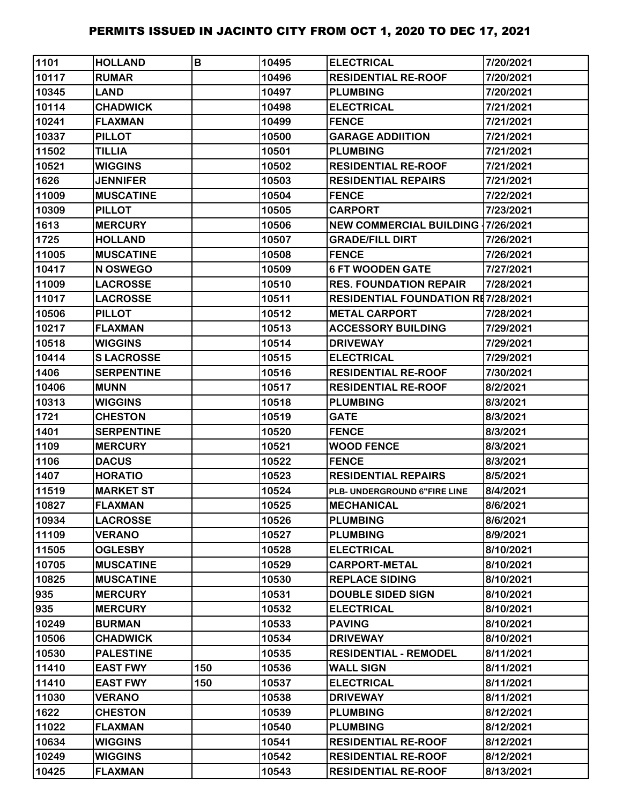| 1101  | <b>HOLLAND</b>    | B   | 10495 | <b>ELECTRICAL</b>                         | 7/20/2021 |
|-------|-------------------|-----|-------|-------------------------------------------|-----------|
| 10117 | <b>RUMAR</b>      |     | 10496 | <b>RESIDENTIAL RE-ROOF</b>                | 7/20/2021 |
| 10345 | <b>LAND</b>       |     | 10497 | <b>PLUMBING</b>                           | 7/20/2021 |
| 10114 | <b>CHADWICK</b>   |     | 10498 | <b>ELECTRICAL</b>                         | 7/21/2021 |
| 10241 | <b>FLAXMAN</b>    |     | 10499 | <b>FENCE</b>                              | 7/21/2021 |
| 10337 | <b>PILLOT</b>     |     | 10500 | <b>GARAGE ADDIITION</b>                   | 7/21/2021 |
| 11502 | <b>TILLIA</b>     |     | 10501 | <b>PLUMBING</b>                           | 7/21/2021 |
| 10521 | <b>WIGGINS</b>    |     | 10502 | <b>RESIDENTIAL RE-ROOF</b>                | 7/21/2021 |
| 1626  | <b>JENNIFER</b>   |     | 10503 | <b>RESIDENTIAL REPAIRS</b>                | 7/21/2021 |
| 11009 | <b>MUSCATINE</b>  |     | 10504 | <b>FENCE</b>                              | 7/22/2021 |
| 10309 | <b>PILLOT</b>     |     | 10505 | <b>CARPORT</b>                            | 7/23/2021 |
| 1613  | <b>MERCURY</b>    |     | 10506 | <b>NEW COMMERCIAL BUILDING 17/26/2021</b> |           |
| 1725  | <b>HOLLAND</b>    |     | 10507 | <b>GRADE/FILL DIRT</b>                    | 7/26/2021 |
| 11005 | <b>MUSCATINE</b>  |     | 10508 | <b>FENCE</b>                              | 7/26/2021 |
| 10417 | N OSWEGO          |     | 10509 | <b>6 FT WOODEN GATE</b>                   | 7/27/2021 |
| 11009 | <b>LACROSSE</b>   |     | 10510 | <b>RES. FOUNDATION REPAIR</b>             | 7/28/2021 |
| 11017 | <b>LACROSSE</b>   |     | 10511 | <b>RESIDENTIAL FOUNDATION RE7/28/2021</b> |           |
| 10506 | <b>PILLOT</b>     |     | 10512 | <b>METAL CARPORT</b>                      | 7/28/2021 |
| 10217 | <b>FLAXMAN</b>    |     | 10513 | <b>ACCESSORY BUILDING</b>                 | 7/29/2021 |
| 10518 | <b>WIGGINS</b>    |     | 10514 | <b>DRIVEWAY</b>                           | 7/29/2021 |
| 10414 | <b>SLACROSSE</b>  |     | 10515 | <b>ELECTRICAL</b>                         | 7/29/2021 |
| 1406  | <b>SERPENTINE</b> |     | 10516 | <b>RESIDENTIAL RE-ROOF</b>                | 7/30/2021 |
| 10406 | <b>MUNN</b>       |     | 10517 | <b>RESIDENTIAL RE-ROOF</b>                | 8/2/2021  |
| 10313 | <b>WIGGINS</b>    |     | 10518 | <b>PLUMBING</b>                           | 8/3/2021  |
| 1721  | <b>CHESTON</b>    |     | 10519 | <b>GATE</b>                               | 8/3/2021  |
| 1401  | <b>SERPENTINE</b> |     | 10520 | <b>FENCE</b>                              | 8/3/2021  |
| 1109  | <b>MERCURY</b>    |     | 10521 | <b>WOOD FENCE</b>                         | 8/3/2021  |
| 1106  | <b>DACUS</b>      |     | 10522 | <b>FENCE</b>                              | 8/3/2021  |
| 1407  | <b>HORATIO</b>    |     | 10523 | <b>RESIDENTIAL REPAIRS</b>                | 8/5/2021  |
| 11519 | <b>MARKET ST</b>  |     | 10524 | PLB- UNDERGROUND 6"FIRE LINE              | 8/4/2021  |
| 10827 | <b>FLAXMAN</b>    |     | 10525 | <b>IMECHANICAL</b>                        | 8/6/2021  |
| 10934 | <b>LACROSSE</b>   |     | 10526 | <b>PLUMBING</b>                           | 8/6/2021  |
| 11109 | <b>VERANO</b>     |     | 10527 | <b>PLUMBING</b>                           | 8/9/2021  |
| 11505 | <b>OGLESBY</b>    |     | 10528 | <b>ELECTRICAL</b>                         | 8/10/2021 |
| 10705 | <b>MUSCATINE</b>  |     | 10529 | <b>CARPORT-METAL</b>                      | 8/10/2021 |
| 10825 | <b>MUSCATINE</b>  |     | 10530 | <b>REPLACE SIDING</b>                     | 8/10/2021 |
| 935   | <b>MERCURY</b>    |     | 10531 | <b>DOUBLE SIDED SIGN</b>                  | 8/10/2021 |
| 935   | <b>MERCURY</b>    |     | 10532 | <b>ELECTRICAL</b>                         | 8/10/2021 |
| 10249 | <b>BURMAN</b>     |     | 10533 | <b>PAVING</b>                             | 8/10/2021 |
| 10506 | <b>CHADWICK</b>   |     | 10534 | <b>DRIVEWAY</b>                           | 8/10/2021 |
| 10530 | <b>PALESTINE</b>  |     | 10535 | <b>RESIDENTIAL - REMODEL</b>              | 8/11/2021 |
| 11410 | <b>EAST FWY</b>   | 150 | 10536 | <b>WALL SIGN</b>                          | 8/11/2021 |
| 11410 | <b>EAST FWY</b>   | 150 | 10537 | <b>ELECTRICAL</b>                         | 8/11/2021 |
| 11030 | <b>VERANO</b>     |     | 10538 | <b>DRIVEWAY</b>                           | 8/11/2021 |
| 1622  | <b>CHESTON</b>    |     | 10539 | <b>PLUMBING</b>                           | 8/12/2021 |
| 11022 | <b>FLAXMAN</b>    |     | 10540 | <b>PLUMBING</b>                           | 8/12/2021 |
| 10634 | <b>WIGGINS</b>    |     | 10541 | <b>RESIDENTIAL RE-ROOF</b>                | 8/12/2021 |
| 10249 | <b>WIGGINS</b>    |     | 10542 | <b>RESIDENTIAL RE-ROOF</b>                | 8/12/2021 |
| 10425 | <b>FLAXMAN</b>    |     | 10543 | <b>RESIDENTIAL RE-ROOF</b>                | 8/13/2021 |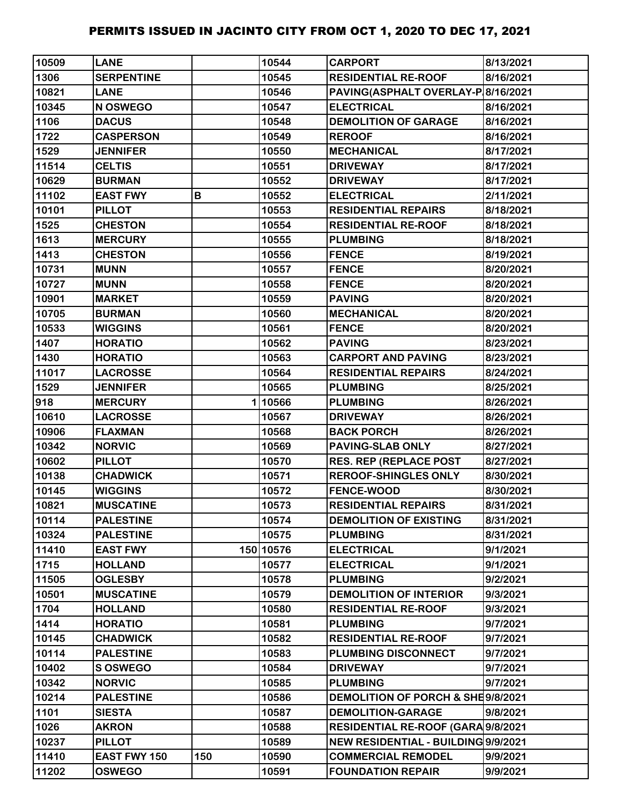| 10509 | <b>LANE</b>         |     | 10544     | <b>CARPORT</b>                      | 8/13/2021 |
|-------|---------------------|-----|-----------|-------------------------------------|-----------|
| 1306  | <b>SERPENTINE</b>   |     | 10545     | <b>RESIDENTIAL RE-ROOF</b>          | 8/16/2021 |
| 10821 | <b>LANE</b>         |     | 10546     | PAVING(ASPHALT OVERLAY-P 8/16/2021  |           |
| 10345 | N OSWEGO            |     | 10547     | <b>ELECTRICAL</b>                   | 8/16/2021 |
| 1106  | <b>DACUS</b>        |     | 10548     | <b>DEMOLITION OF GARAGE</b>         | 8/16/2021 |
| 1722  | <b>CASPERSON</b>    |     | 10549     | <b>REROOF</b>                       | 8/16/2021 |
| 1529  | <b>JENNIFER</b>     |     | 10550     | <b>MECHANICAL</b>                   | 8/17/2021 |
| 11514 | <b>CELTIS</b>       |     | 10551     | <b>DRIVEWAY</b>                     | 8/17/2021 |
| 10629 | <b>BURMAN</b>       |     | 10552     | <b>DRIVEWAY</b>                     | 8/17/2021 |
| 11102 | <b>EAST FWY</b>     | В   | 10552     | <b>ELECTRICAL</b>                   | 2/11/2021 |
| 10101 | <b>PILLOT</b>       |     | 10553     | <b>RESIDENTIAL REPAIRS</b>          | 8/18/2021 |
| 1525  | <b>CHESTON</b>      |     | 10554     | <b>RESIDENTIAL RE-ROOF</b>          | 8/18/2021 |
| 1613  | <b>MERCURY</b>      |     | 10555     | <b>PLUMBING</b>                     | 8/18/2021 |
| 1413  | <b>CHESTON</b>      |     | 10556     | <b>FENCE</b>                        | 8/19/2021 |
| 10731 | <b>MUNN</b>         |     | 10557     | <b>FENCE</b>                        | 8/20/2021 |
| 10727 | <b>MUNN</b>         |     | 10558     | <b>FENCE</b>                        | 8/20/2021 |
| 10901 | <b>MARKET</b>       |     | 10559     | <b>PAVING</b>                       | 8/20/2021 |
| 10705 | <b>BURMAN</b>       |     | 10560     | <b>MECHANICAL</b>                   | 8/20/2021 |
| 10533 | <b>WIGGINS</b>      |     | 10561     | <b>FENCE</b>                        | 8/20/2021 |
| 1407  | <b>HORATIO</b>      |     | 10562     | <b>PAVING</b>                       | 8/23/2021 |
| 1430  | <b>HORATIO</b>      |     | 10563     | <b>CARPORT AND PAVING</b>           | 8/23/2021 |
| 11017 | <b>LACROSSE</b>     |     | 10564     | <b>RESIDENTIAL REPAIRS</b>          | 8/24/2021 |
| 1529  | <b>JENNIFER</b>     |     | 10565     | <b>PLUMBING</b>                     | 8/25/2021 |
| 918   | <b>MERCURY</b>      |     | 110566    | <b>PLUMBING</b>                     | 8/26/2021 |
| 10610 | <b>LACROSSE</b>     |     | 10567     | <b>DRIVEWAY</b>                     | 8/26/2021 |
| 10906 | <b>FLAXMAN</b>      |     | 10568     | <b>BACK PORCH</b>                   | 8/26/2021 |
| 10342 | <b>NORVIC</b>       |     | 10569     | <b>PAVING-SLAB ONLY</b>             | 8/27/2021 |
| 10602 | <b>PILLOT</b>       |     | 10570     | <b>RES. REP (REPLACE POST</b>       | 8/27/2021 |
| 10138 | <b>CHADWICK</b>     |     | 10571     | <b>REROOF-SHINGLES ONLY</b>         | 8/30/2021 |
| 10145 | <b>WIGGINS</b>      |     | 10572     | <b>FENCE-WOOD</b>                   | 8/30/2021 |
| 10821 | <b>MUSCATINE</b>    |     | 10573     | <b>RESIDENTIAL REPAIRS</b>          | 8/31/2021 |
| 10114 | <b>PALESTINE</b>    |     | 10574     | <b>DEMOLITION OF EXISTING</b>       | 8/31/2021 |
| 10324 | <b>PALESTINE</b>    |     | 10575     | <b>PLUMBING</b>                     | 8/31/2021 |
| 11410 | <b>EAST FWY</b>     |     | 150 10576 | <b>ELECTRICAL</b>                   | 9/1/2021  |
| 1715  | <b>HOLLAND</b>      |     | 10577     | <b>ELECTRICAL</b>                   | 9/1/2021  |
| 11505 | <b>OGLESBY</b>      |     | 10578     | <b>PLUMBING</b>                     | 9/2/2021  |
| 10501 | <b>MUSCATINE</b>    |     | 10579     | <b>DEMOLITION OF INTERIOR</b>       | 9/3/2021  |
| 1704  | <b>HOLLAND</b>      |     | 10580     | <b>RESIDENTIAL RE-ROOF</b>          | 9/3/2021  |
| 1414  | <b>HORATIO</b>      |     | 10581     | <b>PLUMBING</b>                     | 9/7/2021  |
| 10145 | <b>CHADWICK</b>     |     | 10582     | <b>RESIDENTIAL RE-ROOF</b>          | 9/7/2021  |
| 10114 | <b>PALESTINE</b>    |     | 10583     | PLUMBING DISCONNECT                 | 9/7/2021  |
| 10402 | <b>S OSWEGO</b>     |     | 10584     | <b>DRIVEWAY</b>                     | 9/7/2021  |
| 10342 | <b>NORVIC</b>       |     | 10585     | <b>PLUMBING</b>                     | 9/7/2021  |
| 10214 | <b>PALESTINE</b>    |     | 10586     | DEMOLITION OF PORCH & SHE9/8/2021   |           |
| 1101  | <b>SIESTA</b>       |     | 10587     | <b>DEMOLITION-GARAGE</b>            | 9/8/2021  |
| 1026  | <b>AKRON</b>        |     | 10588     | RESIDENTIAL RE-ROOF (GARA 9/8/2021  |           |
| 10237 | <b>PILLOT</b>       |     | 10589     | NEW RESIDENTIAL - BUILDING 9/9/2021 |           |
| 11410 | <b>EAST FWY 150</b> | 150 | 10590     | <b>COMMERCIAL REMODEL</b>           | 9/9/2021  |
| 11202 | <b>OSWEGO</b>       |     | 10591     | <b>FOUNDATION REPAIR</b>            | 9/9/2021  |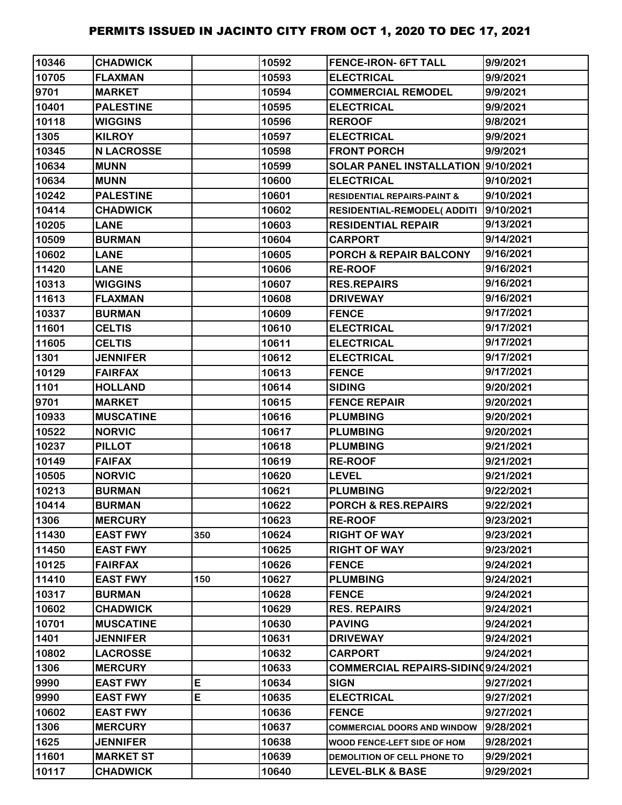| 10346 | <b>CHADWICK</b>   |     | 10592 | <b>FENCE-IRON- 6FT TALL</b>               | 9/9/2021  |
|-------|-------------------|-----|-------|-------------------------------------------|-----------|
| 10705 | <b>FLAXMAN</b>    |     | 10593 | <b>ELECTRICAL</b>                         | 9/9/2021  |
| 9701  | <b>MARKET</b>     |     | 10594 | <b>COMMERCIAL REMODEL</b>                 | 9/9/2021  |
| 10401 | <b>PALESTINE</b>  |     | 10595 | <b>ELECTRICAL</b>                         | 9/9/2021  |
| 10118 | <b>WIGGINS</b>    |     | 10596 | <b>REROOF</b>                             | 9/8/2021  |
| 1305  | <b>KILROY</b>     |     | 10597 | <b>ELECTRICAL</b>                         | 9/9/2021  |
| 10345 | <b>N LACROSSE</b> |     | 10598 | <b>FRONT PORCH</b>                        | 9/9/2021  |
| 10634 | <b>MUNN</b>       |     | 10599 | <b>SOLAR PANEL INSTALLATION 9/10/2021</b> |           |
| 10634 | <b>MUNN</b>       |     | 10600 | <b>ELECTRICAL</b>                         | 9/10/2021 |
| 10242 | <b>PALESTINE</b>  |     | 10601 | <b>RESIDENTIAL REPAIRS-PAINT &amp;</b>    | 9/10/2021 |
| 10414 | <b>CHADWICK</b>   |     | 10602 | RESIDENTIAL-REMODEL(ADDITI                | 9/10/2021 |
| 10205 | <b>LANE</b>       |     | 10603 | <b>RESIDENTIAL REPAIR</b>                 | 9/13/2021 |
| 10509 | <b>BURMAN</b>     |     | 10604 | <b>CARPORT</b>                            | 9/14/2021 |
| 10602 | <b>LANE</b>       |     | 10605 | <b>PORCH &amp; REPAIR BALCONY</b>         | 9/16/2021 |
| 11420 | <b>LANE</b>       |     | 10606 | <b>RE-ROOF</b>                            | 9/16/2021 |
| 10313 | <b>WIGGINS</b>    |     | 10607 | <b>RES.REPAIRS</b>                        | 9/16/2021 |
| 11613 | <b>FLAXMAN</b>    |     | 10608 | <b>DRIVEWAY</b>                           | 9/16/2021 |
| 10337 | <b>BURMAN</b>     |     | 10609 | <b>FENCE</b>                              | 9/17/2021 |
| 11601 | <b>CELTIS</b>     |     | 10610 | <b>ELECTRICAL</b>                         | 9/17/2021 |
| 11605 | <b>CELTIS</b>     |     | 10611 | <b>ELECTRICAL</b>                         | 9/17/2021 |
| 1301  | <b>JENNIFER</b>   |     | 10612 | <b>ELECTRICAL</b>                         | 9/17/2021 |
| 10129 | <b>FAIRFAX</b>    |     | 10613 | <b>FENCE</b>                              | 9/17/2021 |
| 1101  | <b>HOLLAND</b>    |     | 10614 | <b>SIDING</b>                             | 9/20/2021 |
| 9701  | <b>MARKET</b>     |     | 10615 | <b>FENCE REPAIR</b>                       | 9/20/2021 |
| 10933 | <b>MUSCATINE</b>  |     | 10616 | <b>PLUMBING</b>                           | 9/20/2021 |
| 10522 | <b>NORVIC</b>     |     | 10617 | <b>PLUMBING</b>                           | 9/20/2021 |
| 10237 | <b>PILLOT</b>     |     | 10618 | <b>PLUMBING</b>                           | 9/21/2021 |
| 10149 | <b>FAIFAX</b>     |     | 10619 | <b>RE-ROOF</b>                            | 9/21/2021 |
| 10505 | <b>NORVIC</b>     |     | 10620 | <b>LEVEL</b>                              | 9/21/2021 |
| 10213 | <b>BURMAN</b>     |     | 10621 | <b>PLUMBING</b>                           | 9/22/2021 |
| 10414 | <b>BURMAN</b>     |     | 10622 | PORCH & RES.REPAIRS                       | 9/22/2021 |
| 1306  | <b>MERCURY</b>    |     | 10623 | <b>RE-ROOF</b>                            | 9/23/2021 |
| 11430 | <b>EAST FWY</b>   | 350 | 10624 | <b>RIGHT OF WAY</b>                       | 9/23/2021 |
| 11450 | <b>EAST FWY</b>   |     | 10625 | <b>RIGHT OF WAY</b>                       | 9/23/2021 |
| 10125 | <b>FAIRFAX</b>    |     | 10626 | <b>FENCE</b>                              | 9/24/2021 |
| 11410 | <b>EAST FWY</b>   | 150 | 10627 | <b>PLUMBING</b>                           | 9/24/2021 |
| 10317 | <b>BURMAN</b>     |     | 10628 | <b>FENCE</b>                              | 9/24/2021 |
| 10602 | <b>CHADWICK</b>   |     | 10629 | <b>RES. REPAIRS</b>                       | 9/24/2021 |
| 10701 | <b>MUSCATINE</b>  |     | 10630 | <b>PAVING</b>                             | 9/24/2021 |
| 1401  | <b>JENNIFER</b>   |     | 10631 | <b>DRIVEWAY</b>                           | 9/24/2021 |
| 10802 | <b>LACROSSE</b>   |     | 10632 | <b>CARPORT</b>                            | 9/24/2021 |
| 1306  | <b>MERCURY</b>    |     | 10633 | <b>COMMERCIAL REPAIRS-SIDING9/24/2021</b> |           |
| 9990  | <b>EAST FWY</b>   | E   | 10634 | <b>SIGN</b>                               | 9/27/2021 |
| 9990  | <b>EAST FWY</b>   | E   | 10635 | <b>ELECTRICAL</b>                         | 9/27/2021 |
| 10602 | <b>EAST FWY</b>   |     | 10636 | <b>FENCE</b>                              | 9/27/2021 |
| 1306  | <b>MERCURY</b>    |     | 10637 | <b>COMMERCIAL DOORS AND WINDOW</b>        | 9/28/2021 |
| 1625  | <b>JENNIFER</b>   |     | 10638 | WOOD FENCE-LEFT SIDE OF HOM               | 9/28/2021 |
| 11601 | <b>MARKET ST</b>  |     | 10639 | DEMOLITION OF CELL PHONE TO               | 9/29/2021 |
| 10117 | <b>CHADWICK</b>   |     | 10640 | <b>LEVEL-BLK &amp; BASE</b>               | 9/29/2021 |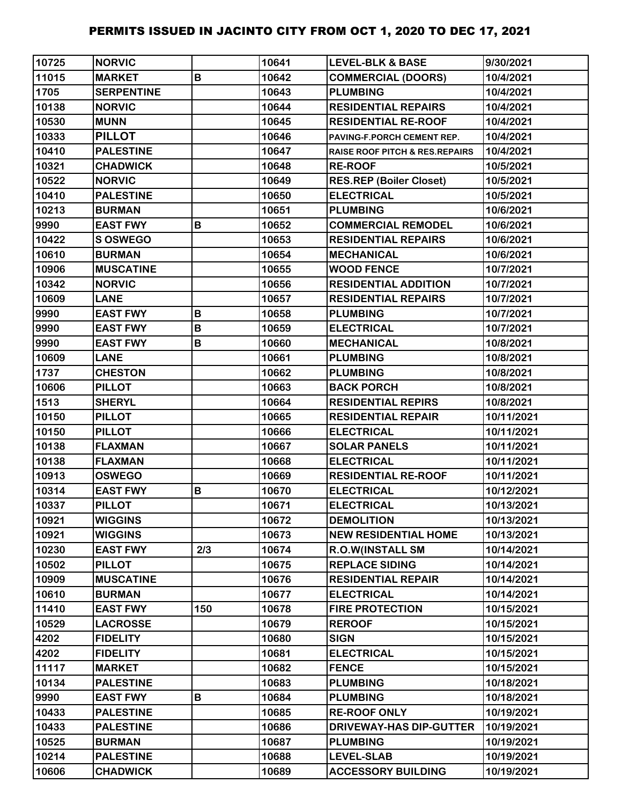| 10725 | <b>NORVIC</b>     |     | 10641 | <b>LEVEL-BLK &amp; BASE</b>               | 9/30/2021  |
|-------|-------------------|-----|-------|-------------------------------------------|------------|
| 11015 | <b>MARKET</b>     | B   | 10642 | <b>COMMERCIAL (DOORS)</b>                 | 10/4/2021  |
| 1705  | <b>SERPENTINE</b> |     | 10643 | <b>PLUMBING</b>                           | 10/4/2021  |
| 10138 | <b>NORVIC</b>     |     | 10644 | <b>RESIDENTIAL REPAIRS</b>                | 10/4/2021  |
| 10530 | <b>MUNN</b>       |     | 10645 | <b>RESIDENTIAL RE-ROOF</b>                | 10/4/2021  |
| 10333 | <b>PILLOT</b>     |     | 10646 | PAVING-F.PORCH CEMENT REP.                | 10/4/2021  |
| 10410 | <b>PALESTINE</b>  |     | 10647 | <b>RAISE ROOF PITCH &amp; RES.REPAIRS</b> | 10/4/2021  |
| 10321 | <b>CHADWICK</b>   |     | 10648 | <b>RE-ROOF</b>                            | 10/5/2021  |
| 10522 | <b>NORVIC</b>     |     | 10649 | <b>RES.REP (Boiler Closet)</b>            | 10/5/2021  |
| 10410 | <b>PALESTINE</b>  |     | 10650 | <b>ELECTRICAL</b>                         | 10/5/2021  |
| 10213 | <b>BURMAN</b>     |     | 10651 | <b>PLUMBING</b>                           | 10/6/2021  |
| 9990  | <b>EAST FWY</b>   | B   | 10652 | <b>COMMERCIAL REMODEL</b>                 | 10/6/2021  |
| 10422 | <b>S OSWEGO</b>   |     | 10653 | <b>RESIDENTIAL REPAIRS</b>                | 10/6/2021  |
| 10610 | <b>BURMAN</b>     |     | 10654 | <b>MECHANICAL</b>                         | 10/6/2021  |
| 10906 | <b>MUSCATINE</b>  |     | 10655 | <b>WOOD FENCE</b>                         | 10/7/2021  |
| 10342 | <b>NORVIC</b>     |     | 10656 | <b>RESIDENTIAL ADDITION</b>               | 10/7/2021  |
| 10609 | <b>LANE</b>       |     | 10657 | <b>RESIDENTIAL REPAIRS</b>                | 10/7/2021  |
| 9990  | <b>EAST FWY</b>   | B   | 10658 | <b>PLUMBING</b>                           | 10/7/2021  |
| 9990  | <b>EAST FWY</b>   | B   | 10659 | <b>ELECTRICAL</b>                         | 10/7/2021  |
| 9990  | <b>EAST FWY</b>   | B   | 10660 | <b>MECHANICAL</b>                         | 10/8/2021  |
| 10609 | <b>LANE</b>       |     | 10661 | <b>PLUMBING</b>                           | 10/8/2021  |
| 1737  | <b>CHESTON</b>    |     | 10662 | <b>PLUMBING</b>                           | 10/8/2021  |
| 10606 | <b>PILLOT</b>     |     | 10663 | <b>BACK PORCH</b>                         | 10/8/2021  |
| 1513  | <b>SHERYL</b>     |     | 10664 | <b>RESIDENTIAL REPIRS</b>                 | 10/8/2021  |
| 10150 | <b>PILLOT</b>     |     | 10665 | <b>RESIDENTIAL REPAIR</b>                 | 10/11/2021 |
| 10150 | <b>PILLOT</b>     |     | 10666 | <b>ELECTRICAL</b>                         | 10/11/2021 |
| 10138 | <b>FLAXMAN</b>    |     | 10667 | <b>SOLAR PANELS</b>                       | 10/11/2021 |
| 10138 | <b>FLAXMAN</b>    |     | 10668 | <b>ELECTRICAL</b>                         | 10/11/2021 |
| 10913 | <b>OSWEGO</b>     |     | 10669 | <b>RESIDENTIAL RE-ROOF</b>                | 10/11/2021 |
| 10314 | <b>EAST FWY</b>   | B   | 10670 | <b>ELECTRICAL</b>                         | 10/12/2021 |
| 10337 | <b>PILLOT</b>     |     | 10671 | <b>ELECTRICAL</b>                         | 10/13/2021 |
| 10921 | <b>WIGGINS</b>    |     | 10672 | <b>DEMOLITION</b>                         | 10/13/2021 |
| 10921 | <b>WIGGINS</b>    |     | 10673 | <b>NEW RESIDENTIAL HOME</b>               | 10/13/2021 |
| 10230 | <b>EAST FWY</b>   | 2/3 | 10674 | <b>R.O.W(INSTALL SM</b>                   | 10/14/2021 |
| 10502 | <b>PILLOT</b>     |     | 10675 | <b>REPLACE SIDING</b>                     | 10/14/2021 |
| 10909 | <b>MUSCATINE</b>  |     | 10676 | <b>RESIDENTIAL REPAIR</b>                 | 10/14/2021 |
| 10610 | <b>BURMAN</b>     |     | 10677 | <b>ELECTRICAL</b>                         | 10/14/2021 |
| 11410 | <b>EAST FWY</b>   | 150 | 10678 | <b>FIRE PROTECTION</b>                    | 10/15/2021 |
| 10529 | <b>LACROSSE</b>   |     | 10679 | <b>REROOF</b>                             | 10/15/2021 |
| 4202  | <b>FIDELITY</b>   |     | 10680 | <b>SIGN</b>                               | 10/15/2021 |
| 4202  | <b>FIDELITY</b>   |     | 10681 | <b>ELECTRICAL</b>                         | 10/15/2021 |
| 11117 | <b>MARKET</b>     |     | 10682 | <b>FENCE</b>                              | 10/15/2021 |
| 10134 | <b>PALESTINE</b>  |     | 10683 | <b>PLUMBING</b>                           | 10/18/2021 |
| 9990  | <b>EAST FWY</b>   | B   | 10684 | <b>PLUMBING</b>                           | 10/18/2021 |
| 10433 | <b>PALESTINE</b>  |     | 10685 | <b>RE-ROOF ONLY</b>                       | 10/19/2021 |
| 10433 | <b>PALESTINE</b>  |     | 10686 | <b>DRIVEWAY-HAS DIP-GUTTER</b>            | 10/19/2021 |
| 10525 | <b>BURMAN</b>     |     | 10687 | <b>PLUMBING</b>                           | 10/19/2021 |
| 10214 | <b>PALESTINE</b>  |     | 10688 | <b>LEVEL-SLAB</b>                         | 10/19/2021 |
| 10606 | <b>CHADWICK</b>   |     | 10689 | <b>ACCESSORY BUILDING</b>                 | 10/19/2021 |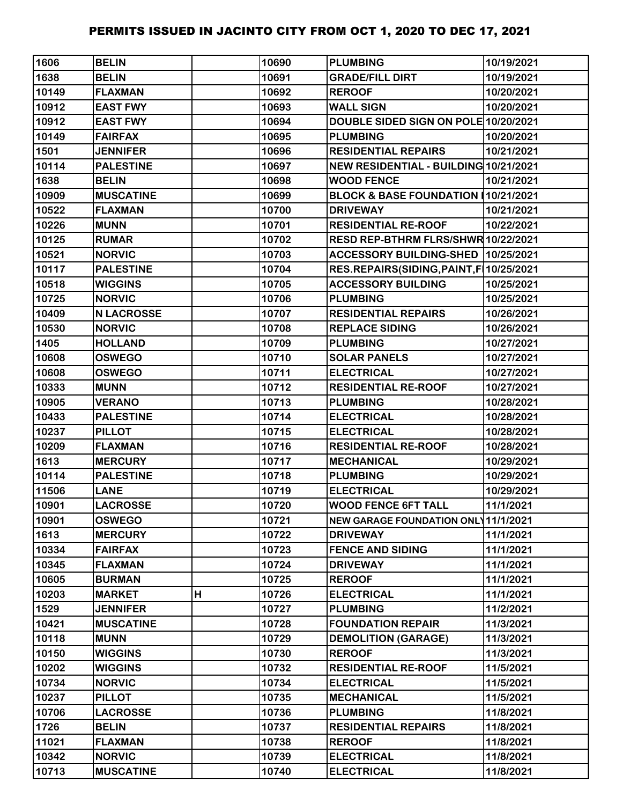| 1606  | <b>BELIN</b>      |   | 10690 | <b>PLUMBING</b>                            | 10/19/2021 |
|-------|-------------------|---|-------|--------------------------------------------|------------|
| 1638  | <b>BELIN</b>      |   | 10691 | <b>GRADE/FILL DIRT</b>                     | 10/19/2021 |
| 10149 | <b>FLAXMAN</b>    |   | 10692 | <b>REROOF</b>                              | 10/20/2021 |
| 10912 | <b>EAST FWY</b>   |   | 10693 | <b>WALL SIGN</b>                           | 10/20/2021 |
| 10912 | <b>EAST FWY</b>   |   | 10694 | DOUBLE SIDED SIGN ON POLE 10/20/2021       |            |
| 10149 | <b>FAIRFAX</b>    |   | 10695 | <b>PLUMBING</b>                            | 10/20/2021 |
| 1501  | <b>JENNIFER</b>   |   | 10696 | <b>RESIDENTIAL REPAIRS</b>                 | 10/21/2021 |
| 10114 | <b>PALESTINE</b>  |   | 10697 | NEW RESIDENTIAL - BUILDING 10/21/2021      |            |
| 1638  | <b>BELIN</b>      |   | 10698 | <b>WOOD FENCE</b>                          | 10/21/2021 |
| 10909 | <b>MUSCATINE</b>  |   | 10699 | BLOCK & BASE FOUNDATION 10/21/2021         |            |
| 10522 | <b>FLAXMAN</b>    |   | 10700 | <b>DRIVEWAY</b>                            | 10/21/2021 |
| 10226 | <b>MUNN</b>       |   | 10701 | <b>RESIDENTIAL RE-ROOF</b>                 | 10/22/2021 |
| 10125 | <b>RUMAR</b>      |   | 10702 | RESD REP-BTHRM FLRS/SHWR 10/22/2021        |            |
| 10521 | <b>NORVIC</b>     |   | 10703 | ACCESSORY BUILDING-SHED 10/25/2021         |            |
| 10117 | <b>PALESTINE</b>  |   | 10704 | RES.REPAIRS(SIDING, PAINT, F 10/25/2021    |            |
| 10518 | <b>WIGGINS</b>    |   | 10705 | <b>ACCESSORY BUILDING</b>                  | 10/25/2021 |
| 10725 | <b>NORVIC</b>     |   | 10706 | <b>PLUMBING</b>                            | 10/25/2021 |
| 10409 | <b>N LACROSSE</b> |   | 10707 | <b>RESIDENTIAL REPAIRS</b>                 | 10/26/2021 |
| 10530 | <b>NORVIC</b>     |   | 10708 | <b>REPLACE SIDING</b>                      | 10/26/2021 |
| 1405  | <b>HOLLAND</b>    |   | 10709 | <b>PLUMBING</b>                            | 10/27/2021 |
| 10608 | <b>OSWEGO</b>     |   | 10710 | <b>SOLAR PANELS</b>                        | 10/27/2021 |
| 10608 | <b>OSWEGO</b>     |   | 10711 | <b>ELECTRICAL</b>                          | 10/27/2021 |
| 10333 | <b>MUNN</b>       |   | 10712 | <b>RESIDENTIAL RE-ROOF</b>                 | 10/27/2021 |
| 10905 | <b>VERANO</b>     |   | 10713 | <b>PLUMBING</b>                            | 10/28/2021 |
| 10433 | <b>PALESTINE</b>  |   | 10714 | <b>ELECTRICAL</b>                          | 10/28/2021 |
| 10237 | <b>PILLOT</b>     |   | 10715 | <b>ELECTRICAL</b>                          | 10/28/2021 |
| 10209 | <b>FLAXMAN</b>    |   | 10716 | <b>RESIDENTIAL RE-ROOF</b>                 | 10/28/2021 |
| 1613  | <b>MERCURY</b>    |   | 10717 | <b>MECHANICAL</b>                          | 10/29/2021 |
| 10114 | <b>PALESTINE</b>  |   | 10718 | <b>PLUMBING</b>                            | 10/29/2021 |
| 11506 | <b>LANE</b>       |   | 10719 | <b>ELECTRICAL</b>                          | 10/29/2021 |
| 10901 | <b>LACROSSE</b>   |   | 10720 | <b>WOOD FENCE 6FT TALL</b>                 | 11/1/2021  |
| 10901 | <b>OSWEGO</b>     |   | 10721 | <b>NEW GARAGE FOUNDATION ONL 11/1/2021</b> |            |
| 1613  | <b>MERCURY</b>    |   | 10722 | <b>DRIVEWAY</b>                            | 11/1/2021  |
| 10334 | <b>FAIRFAX</b>    |   | 10723 | <b>FENCE AND SIDING</b>                    | 11/1/2021  |
| 10345 | <b>FLAXMAN</b>    |   | 10724 | <b>DRIVEWAY</b>                            | 11/1/2021  |
| 10605 | <b>BURMAN</b>     |   | 10725 | <b>REROOF</b>                              | 11/1/2021  |
| 10203 | <b>MARKET</b>     | Н | 10726 | <b>ELECTRICAL</b>                          | 11/1/2021  |
| 1529  | <b>JENNIFER</b>   |   | 10727 | <b>PLUMBING</b>                            | 11/2/2021  |
| 10421 | <b>MUSCATINE</b>  |   | 10728 | <b>FOUNDATION REPAIR</b>                   | 11/3/2021  |
| 10118 | <b>MUNN</b>       |   | 10729 | <b>DEMOLITION (GARAGE)</b>                 | 11/3/2021  |
| 10150 | <b>WIGGINS</b>    |   | 10730 | <b>REROOF</b>                              | 11/3/2021  |
| 10202 | <b>WIGGINS</b>    |   | 10732 | <b>RESIDENTIAL RE-ROOF</b>                 | 11/5/2021  |
| 10734 | <b>NORVIC</b>     |   | 10734 | <b>ELECTRICAL</b>                          | 11/5/2021  |
| 10237 | <b>PILLOT</b>     |   | 10735 | <b>MECHANICAL</b>                          | 11/5/2021  |
| 10706 | <b>LACROSSE</b>   |   | 10736 | <b>PLUMBING</b>                            | 11/8/2021  |
| 1726  | <b>BELIN</b>      |   | 10737 | <b>RESIDENTIAL REPAIRS</b>                 | 11/8/2021  |
| 11021 | <b>FLAXMAN</b>    |   | 10738 | <b>REROOF</b>                              | 11/8/2021  |
| 10342 | <b>NORVIC</b>     |   | 10739 | <b>ELECTRICAL</b>                          | 11/8/2021  |
| 10713 | <b>MUSCATINE</b>  |   | 10740 | <b>ELECTRICAL</b>                          | 11/8/2021  |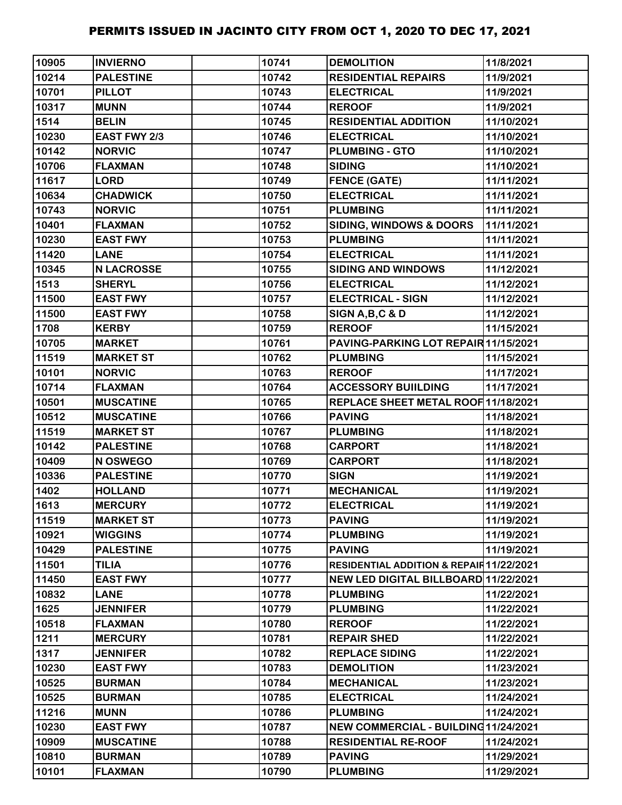| 10905 | <b>INVIERNO</b>   | 10741 | <b>DEMOLITION</b>                        | 11/8/2021  |
|-------|-------------------|-------|------------------------------------------|------------|
| 10214 | <b>PALESTINE</b>  | 10742 | <b>RESIDENTIAL REPAIRS</b>               | 11/9/2021  |
| 10701 | <b>PILLOT</b>     | 10743 | <b>ELECTRICAL</b>                        | 11/9/2021  |
| 10317 | <b>MUNN</b>       | 10744 | <b>REROOF</b>                            | 11/9/2021  |
| 1514  | <b>BELIN</b>      | 10745 | <b>RESIDENTIAL ADDITION</b>              | 11/10/2021 |
| 10230 | EAST FWY 2/3      | 10746 | <b>ELECTRICAL</b>                        | 11/10/2021 |
| 10142 | <b>NORVIC</b>     | 10747 | <b>PLUMBING - GTO</b>                    | 11/10/2021 |
| 10706 | <b>FLAXMAN</b>    | 10748 | <b>SIDING</b>                            | 11/10/2021 |
| 11617 | <b>LORD</b>       | 10749 | <b>FENCE (GATE)</b>                      | 11/11/2021 |
| 10634 | <b>CHADWICK</b>   | 10750 | <b>ELECTRICAL</b>                        | 11/11/2021 |
| 10743 | <b>NORVIC</b>     | 10751 | <b>PLUMBING</b>                          | 11/11/2021 |
| 10401 | <b>FLAXMAN</b>    | 10752 | <b>SIDING, WINDOWS &amp; DOORS</b>       | 11/11/2021 |
| 10230 | <b>EAST FWY</b>   | 10753 | <b>PLUMBING</b>                          | 11/11/2021 |
| 11420 | <b>LANE</b>       | 10754 | <b>ELECTRICAL</b>                        | 11/11/2021 |
| 10345 | <b>N LACROSSE</b> | 10755 | <b>SIDING AND WINDOWS</b>                | 11/12/2021 |
| 1513  | <b>SHERYL</b>     | 10756 | <b>ELECTRICAL</b>                        | 11/12/2021 |
| 11500 | <b>EAST FWY</b>   | 10757 | <b>ELECTRICAL - SIGN</b>                 | 11/12/2021 |
| 11500 | <b>EAST FWY</b>   | 10758 | SIGN A, B, C & D                         | 11/12/2021 |
| 1708  | <b>KERBY</b>      | 10759 | <b>REROOF</b>                            | 11/15/2021 |
| 10705 | <b>MARKET</b>     | 10761 | PAVING-PARKING LOT REPAIR 11/15/2021     |            |
| 11519 | <b>MARKET ST</b>  | 10762 | <b>PLUMBING</b>                          | 11/15/2021 |
| 10101 | <b>NORVIC</b>     | 10763 | <b>REROOF</b>                            | 11/17/2021 |
| 10714 | <b>FLAXMAN</b>    | 10764 | <b>ACCESSORY BUIILDING</b>               | 11/17/2021 |
| 10501 | <b>MUSCATINE</b>  | 10765 | REPLACE SHEET METAL ROOF 11/18/2021      |            |
| 10512 | <b>MUSCATINE</b>  | 10766 | <b>PAVING</b>                            | 11/18/2021 |
| 11519 | <b>MARKET ST</b>  | 10767 | <b>PLUMBING</b>                          | 11/18/2021 |
| 10142 | <b>PALESTINE</b>  | 10768 | <b>CARPORT</b>                           | 11/18/2021 |
| 10409 | N OSWEGO          | 10769 | <b>CARPORT</b>                           | 11/18/2021 |
| 10336 | <b>PALESTINE</b>  | 10770 | <b>SIGN</b>                              | 11/19/2021 |
| 1402  | <b>HOLLAND</b>    | 10771 | <b>MECHANICAL</b>                        | 11/19/2021 |
| 1613  | <b>MERCURY</b>    | 10772 | <b>ELECTRICAL</b>                        | 11/19/2021 |
| 11519 | <b>MARKET ST</b>  | 10773 | <b>PAVING</b>                            | 11/19/2021 |
| 10921 | <b>WIGGINS</b>    | 10774 | <b>PLUMBING</b>                          | 11/19/2021 |
| 10429 | <b>PALESTINE</b>  | 10775 | <b>PAVING</b>                            | 11/19/2021 |
| 11501 | <b>TILIA</b>      | 10776 | RESIDENTIAL ADDITION & REPAIR 11/22/2021 |            |
| 11450 | <b>EAST FWY</b>   | 10777 | NEW LED DIGITAL BILLBOARD 11/22/2021     |            |
| 10832 | <b>LANE</b>       | 10778 | <b>PLUMBING</b>                          | 11/22/2021 |
| 1625  | <b>JENNIFER</b>   | 10779 | <b>PLUMBING</b>                          | 11/22/2021 |
| 10518 | <b>FLAXMAN</b>    | 10780 | <b>REROOF</b>                            | 11/22/2021 |
| 1211  | <b>MERCURY</b>    | 10781 | <b>REPAIR SHED</b>                       | 11/22/2021 |
| 1317  | <b>JENNIFER</b>   | 10782 | <b>REPLACE SIDING</b>                    | 11/22/2021 |
| 10230 | <b>EAST FWY</b>   | 10783 | <b>DEMOLITION</b>                        | 11/23/2021 |
| 10525 | <b>BURMAN</b>     | 10784 | <b>MECHANICAL</b>                        | 11/23/2021 |
| 10525 | <b>BURMAN</b>     | 10785 | <b>ELECTRICAL</b>                        | 11/24/2021 |
| 11216 | <b>MUNN</b>       | 10786 | <b>PLUMBING</b>                          | 11/24/2021 |
| 10230 | <b>EAST FWY</b>   | 10787 | NEW COMMERCIAL - BUILDING11/24/2021      |            |
| 10909 | <b>MUSCATINE</b>  | 10788 | <b>RESIDENTIAL RE-ROOF</b>               | 11/24/2021 |
| 10810 | <b>BURMAN</b>     | 10789 | <b>PAVING</b>                            | 11/29/2021 |
| 10101 | <b>FLAXMAN</b>    | 10790 | <b>PLUMBING</b>                          | 11/29/2021 |